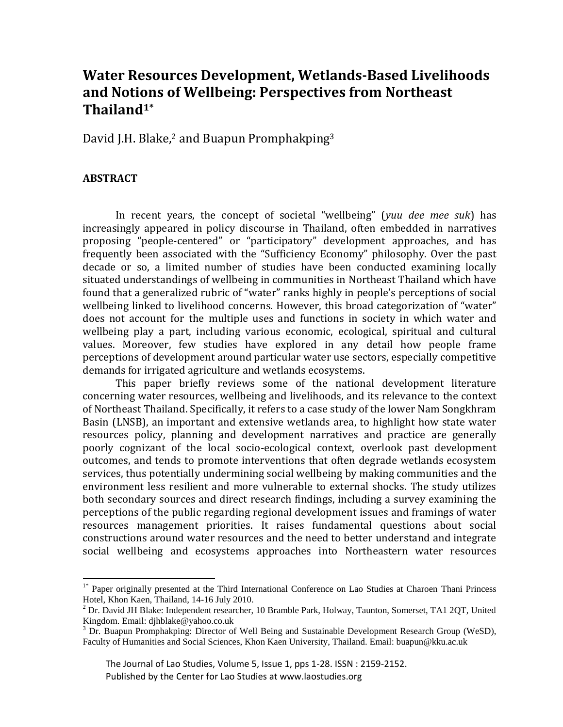# **Water Resources Development, Wetlands-Based Livelihoods and Notions of Wellbeing: Perspectives from Northeast Thailand1\***

David J.H. Blake,<sup>2</sup> and Buapun Promphakping<sup>3</sup>

# **ABSTRACT**

 $\overline{\phantom{a}}$ 

In recent years, the concept of societal "wellbeing" (*yuu dee mee suk*) has increasingly appeared in policy discourse in Thailand, often embedded in narratives proposing "people-centered" or "participatory" development approaches, and has frequently been associated with the "Sufficiency Economy" philosophy. Over the past decade or so, a limited number of studies have been conducted examining locally situated understandings of wellbeing in communities in Northeast Thailand which have found that a generalized rubric of "water" ranks highly in people's perceptions of social wellbeing linked to livelihood concerns. However, this broad categorization of "water" does not account for the multiple uses and functions in society in which water and wellbeing play a part, including various economic, ecological, spiritual and cultural values. Moreover, few studies have explored in any detail how people frame perceptions of development around particular water use sectors, especially competitive demands for irrigated agriculture and wetlands ecosystems.

This paper briefly reviews some of the national development literature concerning water resources, wellbeing and livelihoods, and its relevance to the context of Northeast Thailand. Specifically, it refers to a case study of the lower Nam Songkhram Basin (LNSB), an important and extensive wetlands area, to highlight how state water resources policy, planning and development narratives and practice are generally poorly cognizant of the local socio-ecological context, overlook past development outcomes, and tends to promote interventions that often degrade wetlands ecosystem services, thus potentially undermining social wellbeing by making communities and the environment less resilient and more vulnerable to external shocks. The study utilizes both secondary sources and direct research findings, including a survey examining the perceptions of the public regarding regional development issues and framings of water resources management priorities. It raises fundamental questions about social constructions around water resources and the need to better understand and integrate social wellbeing and ecosystems approaches into Northeastern water resources

 The Journal of Lao Studies, Volume 5, Issue 1, pps 1-28. ISSN : 2159-2152. Published by the Center for Lao Studies at www.laostudies.org

<sup>&</sup>lt;sup>1\*</sup> Paper originally presented at the Third International Conference on Lao Studies at Charoen Thani Princess Hotel, Khon Kaen, Thailand, 14-16 July 2010.

<sup>&</sup>lt;sup>2</sup> Dr. David JH Blake: Independent researcher, 10 Bramble Park, Holway, Taunton, Somerset, TA1 2QT, United Kingdom. Email: djhblake@yahoo.co.uk

<sup>&</sup>lt;sup>3</sup> Dr. Buapun Promphakping: Director of Well Being and Sustainable Development Research Group (WeSD), Faculty of Humanities and Social Sciences, Khon Kaen University, Thailand. Email: buapun@kku.ac.uk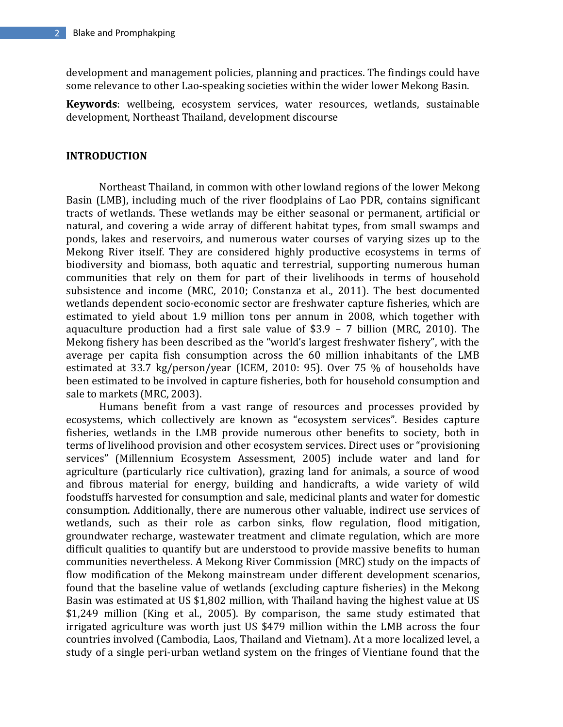development and management policies, planning and practices. The findings could have some relevance to other Lao-speaking societies within the wider lower Mekong Basin.

**Keywords**: wellbeing, ecosystem services, water resources, wetlands, sustainable development, Northeast Thailand, development discourse

#### **INTRODUCTION**

Northeast Thailand, in common with other lowland regions of the lower Mekong Basin (LMB), including much of the river floodplains of Lao PDR, contains significant tracts of wetlands. These wetlands may be either seasonal or permanent, artificial or natural, and covering a wide array of different habitat types, from small swamps and ponds, lakes and reservoirs, and numerous water courses of varying sizes up to the Mekong River itself. They are considered highly productive ecosystems in terms of biodiversity and biomass, both aquatic and terrestrial, supporting numerous human communities that rely on them for part of their livelihoods in terms of household subsistence and income (MRC, 2010; Constanza et al., 2011). The best documented wetlands dependent socio-economic sector are freshwater capture fisheries, which are estimated to yield about 1.9 million tons per annum in 2008, which together with aquaculture production had a first sale value of \$3.9 – 7 billion (MRC, 2010). The Mekong fishery has been described as the "world's largest freshwater fishery", with the average per capita fish consumption across the 60 million inhabitants of the LMB estimated at 33.7 kg/person/year (ICEM, 2010: 95). Over 75 % of households have been estimated to be involved in capture fisheries, both for household consumption and sale to markets (MRC, 2003).

Humans benefit from a vast range of resources and processes provided by ecosystems, which collectively are known as "ecosystem services". Besides capture fisheries, wetlands in the LMB provide numerous other benefits to society, both in terms of livelihood provision and other ecosystem services. Direct uses or "provisioning services" (Millennium Ecosystem Assessment, 2005) include water and land for agriculture (particularly rice cultivation), grazing land for animals, a source of wood and fibrous material for energy, building and handicrafts, a wide variety of wild foodstuffs harvested for consumption and sale, medicinal plants and water for domestic consumption. Additionally, there are numerous other valuable, indirect use services of wetlands, such as their role as carbon sinks, flow regulation, flood mitigation, groundwater recharge, wastewater treatment and climate regulation, which are more difficult qualities to quantify but are understood to provide massive benefits to human communities nevertheless. A Mekong River Commission (MRC) study on the impacts of flow modification of the Mekong mainstream under different development scenarios, found that the baseline value of wetlands (excluding capture fisheries) in the Mekong Basin was estimated at US \$1,802 million, with Thailand having the highest value at US \$1,249 million (King et al., 2005). By comparison, the same study estimated that irrigated agriculture was worth just US \$479 million within the LMB across the four countries involved (Cambodia, Laos, Thailand and Vietnam). At a more localized level, a study of a single peri-urban wetland system on the fringes of Vientiane found that the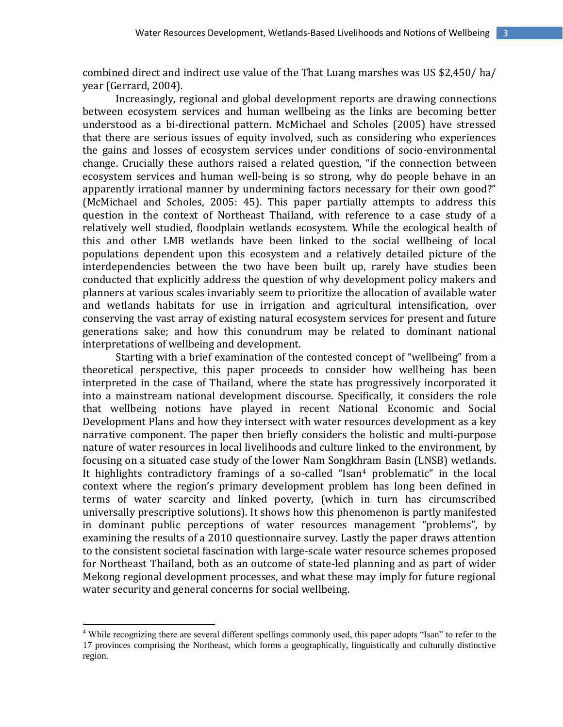combined direct and indirect use value of the That Luang marshes was US \$2,450/ ha/ year (Gerrard, 2004).

Increasingly, regional and global development reports are drawing connections between ecosystem services and human wellbeing as the links are becoming better understood as a bi-directional pattern. McMichael and Scholes (2005) have stressed that there are serious issues of equity involved, such as considering who experiences the gains and losses of ecosystem services under conditions of socio-environmental change. Crucially these authors raised a related question, "if the connection between ecosystem services and human well-being is so strong, why do people behave in an apparently irrational manner by undermining factors necessary for their own good?" (McMichael and Scholes, 2005: 45). This paper partially attempts to address this question in the context of Northeast Thailand, with reference to a case study of a relatively well studied, floodplain wetlands ecosystem. While the ecological health of this and other LMB wetlands have been linked to the social wellbeing of local populations dependent upon this ecosystem and a relatively detailed picture of the interdependencies between the two have been built up, rarely have studies been conducted that explicitly address the question of why development policy makers and planners at various scales invariably seem to prioritize the allocation of available water and wetlands habitats for use in irrigation and agricultural intensification, over conserving the vast array of existing natural ecosystem services for present and future generations sake; and how this conundrum may be related to dominant national interpretations of wellbeing and development.

Starting with a brief examination of the contested concept of "wellbeing" from a theoretical perspective, this paper proceeds to consider how wellbeing has been interpreted in the case of Thailand, where the state has progressively incorporated it into a mainstream national development discourse. Specifically, it considers the role that wellbeing notions have played in recent National Economic and Social Development Plans and how they intersect with water resources development as a key narrative component. The paper then briefly considers the holistic and multi-purpose nature of water resources in local livelihoods and culture linked to the environment, by focusing on a situated case study of the lower Nam Songkhram Basin (LNSB) wetlands. It highlights contradictory framings of a so-called "Isan<sup>4</sup> problematic" in the local context where the region's primary development problem has long been defined in terms of water scarcity and linked poverty, (which in turn has circumscribed universally prescriptive solutions). It shows how this phenomenon is partly manifested in dominant public perceptions of water resources management "problems", by examining the results of a 2010 questionnaire survey. Lastly the paper draws attention to the consistent societal fascination with large-scale water resource schemes proposed for Northeast Thailand, both as an outcome of state-led planning and as part of wider Mekong regional development processes, and what these may imply for future regional water security and general concerns for social wellbeing.

<sup>&</sup>lt;sup>4</sup> While recognizing there are several different spellings commonly used, this paper adopts "Isan" to refer to the 17 provinces comprising the Northeast, which forms a geographically, linguistically and culturally distinctive region.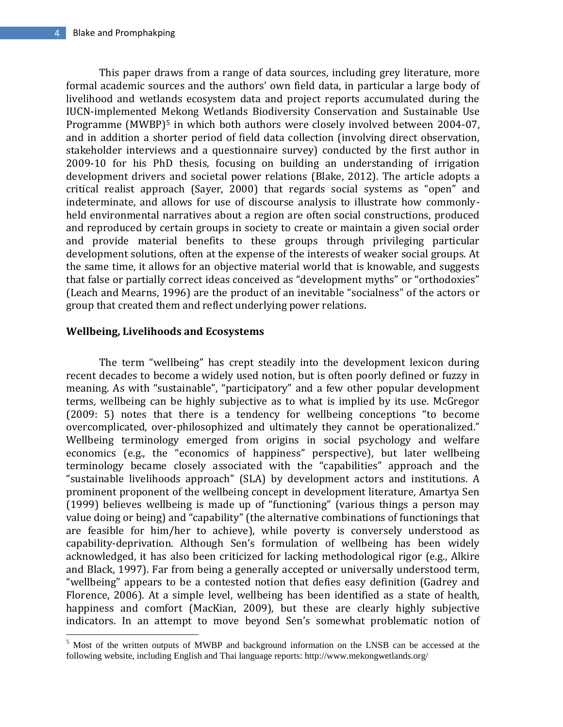This paper draws from a range of data sources, including grey literature, more formal academic sources and the authors' own field data, in particular a large body of livelihood and wetlands ecosystem data and project reports accumulated during the IUCN-implemented Mekong Wetlands Biodiversity Conservation and Sustainable Use Programme (MWBP)<sup>5</sup> in which both authors were closely involved between 2004-07, and in addition a shorter period of field data collection (involving direct observation, stakeholder interviews and a questionnaire survey) conducted by the first author in 2009-10 for his PhD thesis, focusing on building an understanding of irrigation development drivers and societal power relations (Blake, 2012). The article adopts a critical realist approach (Sayer, 2000) that regards social systems as "open" and indeterminate, and allows for use of discourse analysis to illustrate how commonlyheld environmental narratives about a region are often social constructions, produced and reproduced by certain groups in society to create or maintain a given social order and provide material benefits to these groups through privileging particular development solutions, often at the expense of the interests of weaker social groups. At the same time, it allows for an objective material world that is knowable, and suggests that false or partially correct ideas conceived as "development myths" or "orthodoxies" (Leach and Mearns, 1996) are the product of an inevitable "socialness" of the actors or group that created them and reflect underlying power relations.

## **Wellbeing, Livelihoods and Ecosystems**

 $\overline{\phantom{a}}$ 

The term "wellbeing" has crept steadily into the development lexicon during recent decades to become a widely used notion, but is often poorly defined or fuzzy in meaning. As with "sustainable", "participatory" and a few other popular development terms, wellbeing can be highly subjective as to what is implied by its use. McGregor (2009: 5) notes that there is a tendency for wellbeing conceptions "to become overcomplicated, over-philosophized and ultimately they cannot be operationalized." Wellbeing terminology emerged from origins in social psychology and welfare economics (e.g., the "economics of happiness" perspective), but later wellbeing terminology became closely associated with the "capabilities" approach and the "sustainable livelihoods approach" (SLA) by development actors and institutions. A prominent proponent of the wellbeing concept in development literature, Amartya Sen (1999) believes wellbeing is made up of "functioning" (various things a person may value doing or being) and "capability" (the alternative combinations of functionings that are feasible for him/her to achieve), while poverty is conversely understood as capability-deprivation. Although Sen's formulation of wellbeing has been widely acknowledged, it has also been criticized for lacking methodological rigor (e.g., Alkire and Black, 1997). Far from being a generally accepted or universally understood term, "wellbeing" appears to be a contested notion that defies easy definition (Gadrey and Florence, 2006). At a simple level, wellbeing has been identified as a state of health, happiness and comfort (MacKian, 2009), but these are clearly highly subjective indicators. In an attempt to move beyond Sen's somewhat problematic notion of

<sup>&</sup>lt;sup>5</sup> Most of the written outputs of MWBP and background information on the LNSB can be accessed at the following website, including English and Thai language reports: http://www.mekongwetlands.org/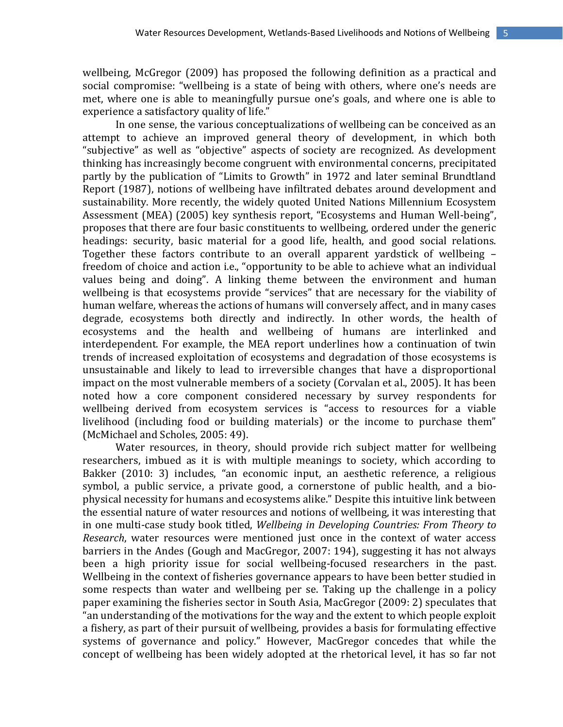wellbeing, McGregor (2009) has proposed the following definition as a practical and social compromise: "wellbeing is a state of being with others, where one's needs are met, where one is able to meaningfully pursue one's goals, and where one is able to experience a satisfactory quality of life."

In one sense, the various conceptualizations of wellbeing can be conceived as an attempt to achieve an improved general theory of development, in which both "subjective" as well as "objective" aspects of society are recognized. As development thinking has increasingly become congruent with environmental concerns, precipitated partly by the publication of "Limits to Growth" in 1972 and later seminal Brundtland Report (1987), notions of wellbeing have infiltrated debates around development and sustainability. More recently, the widely quoted United Nations Millennium Ecosystem Assessment (MEA) (2005) key synthesis report, "Ecosystems and Human Well-being", proposes that there are four basic constituents to wellbeing, ordered under the generic headings: security, basic material for a good life, health, and good social relations. Together these factors contribute to an overall apparent yardstick of wellbeing – freedom of choice and action i.e., "opportunity to be able to achieve what an individual values being and doing". A linking theme between the environment and human wellbeing is that ecosystems provide "services" that are necessary for the viability of human welfare, whereas the actions of humans will conversely affect, and in many cases degrade, ecosystems both directly and indirectly. In other words, the health of ecosystems and the health and wellbeing of humans are interlinked and interdependent. For example, the MEA report underlines how a continuation of twin trends of increased exploitation of ecosystems and degradation of those ecosystems is unsustainable and likely to lead to irreversible changes that have a disproportional impact on the most vulnerable members of a society (Corvalan et al., 2005). It has been noted how a core component considered necessary by survey respondents for wellbeing derived from ecosystem services is "access to resources for a viable livelihood (including food or building materials) or the income to purchase them" (McMichael and Scholes, 2005: 49).

Water resources, in theory, should provide rich subject matter for wellbeing researchers, imbued as it is with multiple meanings to society, which according to Bakker (2010: 3) includes, "an economic input, an aesthetic reference, a religious symbol, a public service, a private good, a cornerstone of public health, and a biophysical necessity for humans and ecosystems alike." Despite this intuitive link between the essential nature of water resources and notions of wellbeing, it was interesting that in one multi-case study book titled, *Wellbeing in Developing Countries: From Theory to Research*, water resources were mentioned just once in the context of water access barriers in the Andes (Gough and MacGregor, 2007: 194), suggesting it has not always been a high priority issue for social wellbeing-focused researchers in the past. Wellbeing in the context of fisheries governance appears to have been better studied in some respects than water and wellbeing per se. Taking up the challenge in a policy paper examining the fisheries sector in South Asia, MacGregor (2009: 2) speculates that "an understanding of the motivations for the way and the extent to which people exploit a fishery, as part of their pursuit of wellbeing, provides a basis for formulating effective systems of governance and policy." However, MacGregor concedes that while the concept of wellbeing has been widely adopted at the rhetorical level, it has so far not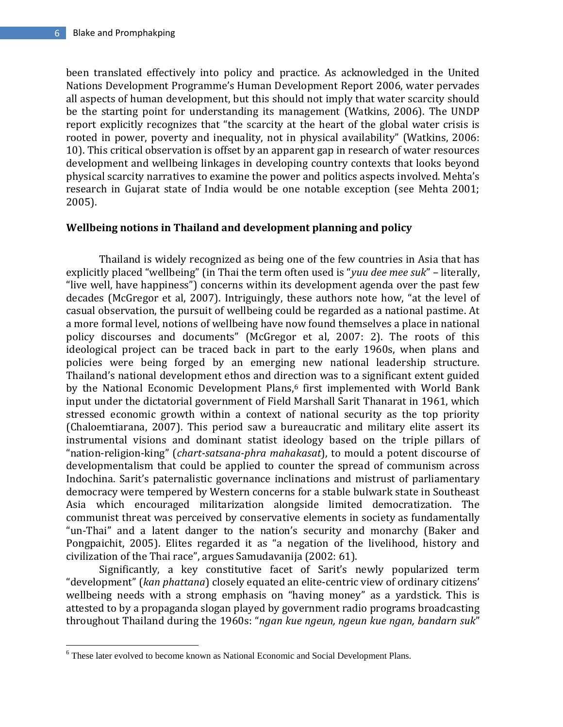$\overline{\phantom{a}}$ 

been translated effectively into policy and practice. As acknowledged in the United Nations Development Programme's Human Development Report 2006, water pervades all aspects of human development, but this should not imply that water scarcity should be the starting point for understanding its management (Watkins, 2006). The UNDP report explicitly recognizes that "the scarcity at the heart of the global water crisis is rooted in power, poverty and inequality, not in physical availability" (Watkins, 2006: 10). This critical observation is offset by an apparent gap in research of water resources development and wellbeing linkages in developing country contexts that looks beyond physical scarcity narratives to examine the power and politics aspects involved. Mehta's research in Gujarat state of India would be one notable exception (see Mehta 2001; 2005).

### **Wellbeing notions in Thailand and development planning and policy**

Thailand is widely recognized as being one of the few countries in Asia that has explicitly placed "wellbeing" (in Thai the term often used is "*yuu dee mee suk*" – literally, "live well, have happiness") concerns within its development agenda over the past few decades (McGregor et al, 2007). Intriguingly, these authors note how, "at the level of casual observation, the pursuit of wellbeing could be regarded as a national pastime. At a more formal level, notions of wellbeing have now found themselves a place in national policy discourses and documents" (McGregor et al, 2007: 2). The roots of this ideological project can be traced back in part to the early 1960s, when plans and policies were being forged by an emerging new national leadership structure. Thailand's national development ethos and direction was to a significant extent guided by the National Economic Development Plans,<sup>6</sup> first implemented with World Bank input under the dictatorial government of Field Marshall Sarit Thanarat in 1961, which stressed economic growth within a context of national security as the top priority (Chaloemtiarana, 2007). This period saw a bureaucratic and military elite assert its instrumental visions and dominant statist ideology based on the triple pillars of "nation-religion-king" (*chart-satsana-phra mahakasat*), to mould a potent discourse of developmentalism that could be applied to counter the spread of communism across Indochina. Sarit's paternalistic governance inclinations and mistrust of parliamentary democracy were tempered by Western concerns for a stable bulwark state in Southeast Asia which encouraged militarization alongside limited democratization. The communist threat was perceived by conservative elements in society as fundamentally "un-Thai" and a latent danger to the nation's security and monarchy (Baker and Pongpaichit, 2005). Elites regarded it as "a negation of the livelihood, history and civilization of the Thai race", argues Samudavanija (2002: 61).

Significantly, a key constitutive facet of Sarit's newly popularized term "development" (*kan phattana*) closely equated an elite-centric view of ordinary citizens' wellbeing needs with a strong emphasis on "having money" as a yardstick. This is attested to by a propaganda slogan played by government radio programs broadcasting throughout Thailand during the 1960s: "*ngan kue ngeun, ngeun kue ngan, bandarn suk*"

<sup>6</sup> These later evolved to become known as National Economic and Social Development Plans.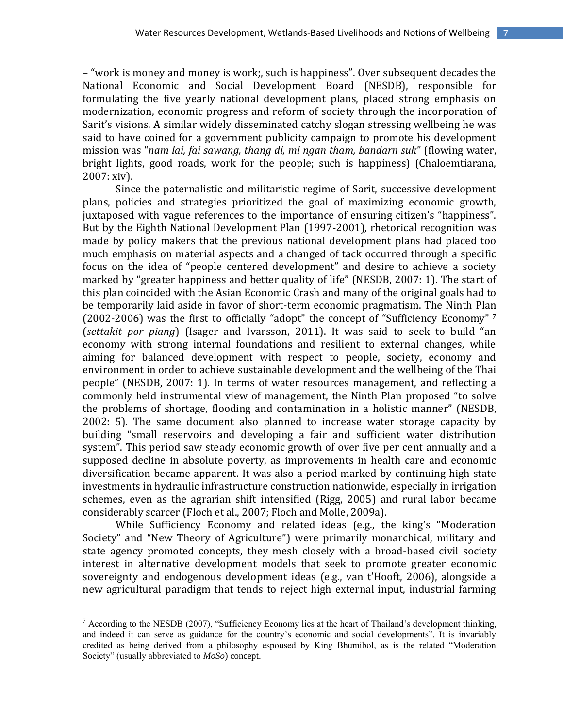– "work is money and money is work;, such is happiness". Over subsequent decades the National Economic and Social Development Board (NESDB), responsible for formulating the five yearly national development plans, placed strong emphasis on modernization, economic progress and reform of society through the incorporation of Sarit's visions. A similar widely disseminated catchy slogan stressing wellbeing he was said to have coined for a government publicity campaign to promote his development mission was "*nam lai, fai sawang, thang di, mi ngan tham, bandarn suk*" (flowing water, bright lights, good roads, work for the people; such is happiness) (Chaloemtiarana, 2007: xiv).

Since the paternalistic and militaristic regime of Sarit, successive development plans, policies and strategies prioritized the goal of maximizing economic growth, juxtaposed with vague references to the importance of ensuring citizen's "happiness". But by the Eighth National Development Plan (1997-2001), rhetorical recognition was made by policy makers that the previous national development plans had placed too much emphasis on material aspects and a changed of tack occurred through a specific focus on the idea of "people centered development" and desire to achieve a society marked by "greater happiness and better quality of life" (NESDB, 2007: 1). The start of this plan coincided with the Asian Economic Crash and many of the original goals had to be temporarily laid aside in favor of short-term economic pragmatism. The Ninth Plan (2002-2006) was the first to officially "adopt" the concept of "Sufficiency Economy" <sup>7</sup> (*settakit por piang*) (Isager and Ivarsson, 2011). It was said to seek to build "an economy with strong internal foundations and resilient to external changes, while aiming for balanced development with respect to people, society, economy and environment in order to achieve sustainable development and the wellbeing of the Thai people" (NESDB, 2007: 1). In terms of water resources management, and reflecting a commonly held instrumental view of management, the Ninth Plan proposed "to solve the problems of shortage, flooding and contamination in a holistic manner" (NESDB, 2002: 5). The same document also planned to increase water storage capacity by building "small reservoirs and developing a fair and sufficient water distribution system". This period saw steady economic growth of over five per cent annually and a supposed decline in absolute poverty, as improvements in health care and economic diversification became apparent. It was also a period marked by continuing high state investments in hydraulic infrastructure construction nationwide, especially in irrigation schemes, even as the agrarian shift intensified (Rigg, 2005) and rural labor became considerably scarcer (Floch et al., 2007; Floch and Molle, 2009a).

While Sufficiency Economy and related ideas (e.g., the king's "Moderation Society" and "New Theory of Agriculture") were primarily monarchical, military and state agency promoted concepts, they mesh closely with a broad-based civil society interest in alternative development models that seek to promote greater economic sovereignty and endogenous development ideas (e.g., van t'Hooft, 2006), alongside a new agricultural paradigm that tends to reject high external input, industrial farming

<sup>&</sup>lt;sup>7</sup> According to the NESDB (2007), "Sufficiency Economy lies at the heart of Thailand's development thinking, and indeed it can serve as guidance for the country's economic and social developments". It is invariably credited as being derived from a philosophy espoused by King Bhumibol, as is the related "Moderation Society" (usually abbreviated to *MoSo*) concept.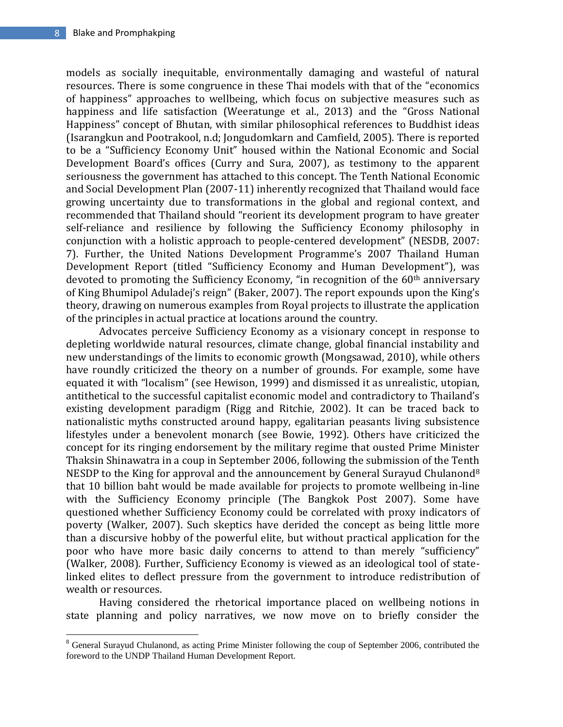$\overline{\phantom{a}}$ 

models as socially inequitable, environmentally damaging and wasteful of natural resources. There is some congruence in these Thai models with that of the "economics of happiness" approaches to wellbeing, which focus on subjective measures such as happiness and life satisfaction (Weeratunge et al., 2013) and the "Gross National Happiness" concept of Bhutan, with similar philosophical references to Buddhist ideas (Isarangkun and Pootrakool, n.d; Jongudomkarn and Camfield, 2005). There is reported to be a "Sufficiency Economy Unit" housed within the National Economic and Social Development Board's offices (Curry and Sura, 2007), as testimony to the apparent seriousness the government has attached to this concept. The Tenth National Economic and Social Development Plan (2007-11) inherently recognized that Thailand would face growing uncertainty due to transformations in the global and regional context, and recommended that Thailand should "reorient its development program to have greater self-reliance and resilience by following the Sufficiency Economy philosophy in conjunction with a holistic approach to people-centered development" (NESDB, 2007: 7). Further, the United Nations Development Programme's 2007 Thailand Human Development Report (titled "Sufficiency Economy and Human Development"), was devoted to promoting the Sufficiency Economy, "in recognition of the 60<sup>th</sup> anniversary of King Bhumipol Aduladej's reign" (Baker, 2007). The report expounds upon the King's theory, drawing on numerous examples from Royal projects to illustrate the application of the principles in actual practice at locations around the country.

Advocates perceive Sufficiency Economy as a visionary concept in response to depleting worldwide natural resources, climate change, global financial instability and new understandings of the limits to economic growth (Mongsawad, 2010), while others have roundly criticized the theory on a number of grounds. For example, some have equated it with "localism" (see Hewison, 1999) and dismissed it as unrealistic, utopian, antithetical to the successful capitalist economic model and contradictory to Thailand's existing development paradigm (Rigg and Ritchie, 2002). It can be traced back to nationalistic myths constructed around happy, egalitarian peasants living subsistence lifestyles under a benevolent monarch (see Bowie, 1992). Others have criticized the concept for its ringing endorsement by the military regime that ousted Prime Minister Thaksin Shinawatra in a coup in September 2006, following the submission of the Tenth NESDP to the King for approval and the announcement by General Surayud Chulanond<sup>8</sup> that 10 billion baht would be made available for projects to promote wellbeing in-line with the Sufficiency Economy principle (The Bangkok Post 2007). Some have questioned whether Sufficiency Economy could be correlated with proxy indicators of poverty (Walker, 2007). Such skeptics have derided the concept as being little more than a discursive hobby of the powerful elite, but without practical application for the poor who have more basic daily concerns to attend to than merely "sufficiency" (Walker, 2008). Further, Sufficiency Economy is viewed as an ideological tool of statelinked elites to deflect pressure from the government to introduce redistribution of wealth or resources.

Having considered the rhetorical importance placed on wellbeing notions in state planning and policy narratives, we now move on to briefly consider the

 $8$  General Surayud Chulanond, as acting Prime Minister following the coup of September 2006, contributed the foreword to the UNDP Thailand Human Development Report.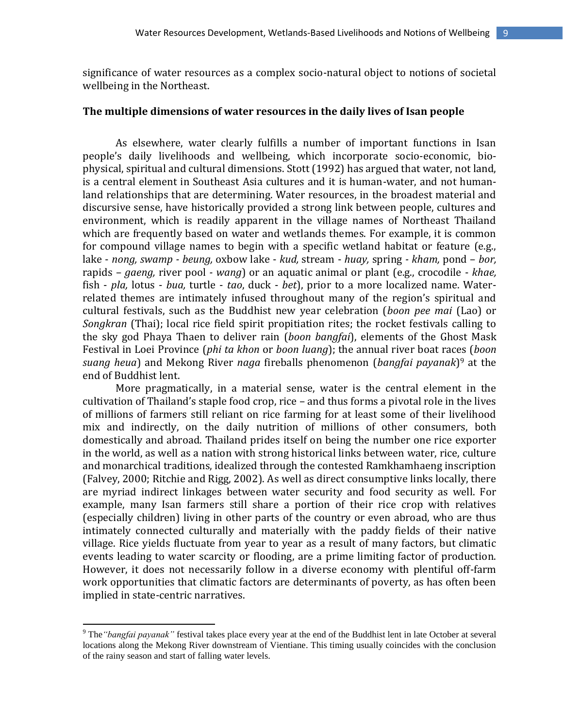significance of water resources as a complex socio-natural object to notions of societal wellbeing in the Northeast.

## **The multiple dimensions of water resources in the daily lives of Isan people**

As elsewhere, water clearly fulfills a number of important functions in Isan people's daily livelihoods and wellbeing, which incorporate socio-economic, biophysical, spiritual and cultural dimensions. Stott (1992) has argued that water, not land, is a central element in Southeast Asia cultures and it is human-water, and not humanland relationships that are determining. Water resources, in the broadest material and discursive sense, have historically provided a strong link between people, cultures and environment, which is readily apparent in the village names of Northeast Thailand which are frequently based on water and wetlands themes. For example, it is common for compound village names to begin with a specific wetland habitat or feature (e.g., lake - *nong, swamp - beung,* oxbow lake - *kud,* stream - *huay,* spring *- kham,* pond – *bor,*  rapids – *gaeng,* river pool *- wang*) or an aquatic animal or plant (e.g., crocodile - *khae,*  fish - *pla,* lotus - *bua,* turtle - *tao*, duck - *bet*), prior to a more localized name. Waterrelated themes are intimately infused throughout many of the region's spiritual and cultural festivals, such as the Buddhist new year celebration (*boon pee mai* (Lao) or *Songkran* (Thai); local rice field spirit propitiation rites; the rocket festivals calling to the sky god Phaya Thaen to deliver rain (*boon bangfai*), elements of the Ghost Mask Festival in Loei Province (*phi ta khon* or *boon luang*); the annual river boat races (*boon suang heua*) and Mekong River *naga* fireballs phenomenon (*bangfai payanak*) <sup>9</sup> at the end of Buddhist lent.

More pragmatically, in a material sense, water is the central element in the cultivation of Thailand's staple food crop, rice – and thus forms a pivotal role in the lives of millions of farmers still reliant on rice farming for at least some of their livelihood mix and indirectly, on the daily nutrition of millions of other consumers, both domestically and abroad. Thailand prides itself on being the number one rice exporter in the world, as well as a nation with strong historical links between water, rice, culture and monarchical traditions, idealized through the contested Ramkhamhaeng inscription (Falvey, 2000; Ritchie and Rigg, 2002). As well as direct consumptive links locally, there are myriad indirect linkages between water security and food security as well. For example, many Isan farmers still share a portion of their rice crop with relatives (especially children) living in other parts of the country or even abroad, who are thus intimately connected culturally and materially with the paddy fields of their native village. Rice yields fluctuate from year to year as a result of many factors, but climatic events leading to water scarcity or flooding, are a prime limiting factor of production. However, it does not necessarily follow in a diverse economy with plentiful off-farm work opportunities that climatic factors are determinants of poverty, as has often been implied in state-centric narratives.

<sup>9</sup> The*"bangfai payanak"* festival takes place every year at the end of the Buddhist lent in late October at several locations along the Mekong River downstream of Vientiane. This timing usually coincides with the conclusion of the rainy season and start of falling water levels.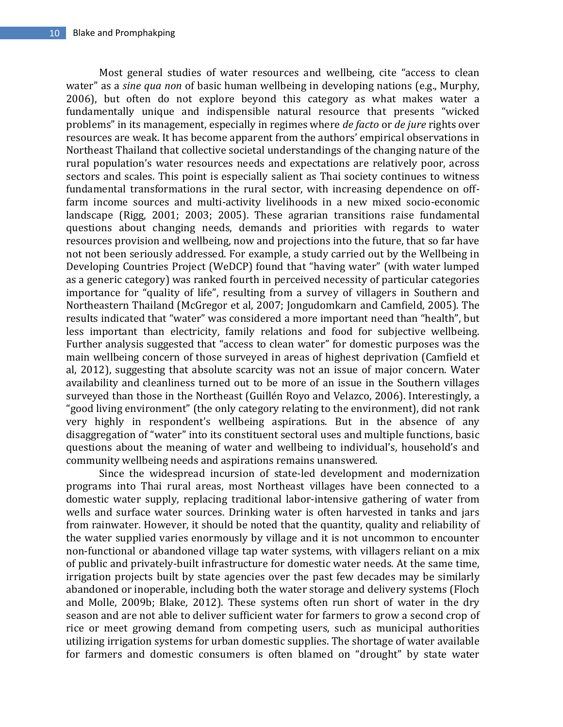Most general studies of water resources and wellbeing, cite "access to clean water" as a *sine qua non* of basic human wellbeing in developing nations (e.g., Murphy, 2006), but often do not explore beyond this category as what makes water a fundamentally unique and indispensible natural resource that presents "wicked problems" in its management, especially in regimes where *de facto* or *de jure* rights over resources are weak. It has become apparent from the authors' empirical observations in Northeast Thailand that collective societal understandings of the changing nature of the rural population's water resources needs and expectations are relatively poor, across sectors and scales. This point is especially salient as Thai society continues to witness fundamental transformations in the rural sector, with increasing dependence on offfarm income sources and multi-activity livelihoods in a new mixed socio-economic landscape (Rigg, 2001; 2003; 2005). These agrarian transitions raise fundamental questions about changing needs, demands and priorities with regards to water resources provision and wellbeing, now and projections into the future, that so far have not not been seriously addressed. For example, a study carried out by the Wellbeing in Developing Countries Project (WeDCP) found that "having water" (with water lumped as a generic category) was ranked fourth in perceived necessity of particular categories importance for "quality of life", resulting from a survey of villagers in Southern and Northeastern Thailand (McGregor et al, 2007; Jongudomkarn and Camfield, 2005). The results indicated that "water" was considered a more important need than "health", but less important than electricity, family relations and food for subjective wellbeing. Further analysis suggested that "access to clean water" for domestic purposes was the main wellbeing concern of those surveyed in areas of highest deprivation (Camfield et al, 2012), suggesting that absolute scarcity was not an issue of major concern. Water availability and cleanliness turned out to be more of an issue in the Southern villages surveyed than those in the Northeast (Guillén Royo and Velazco, 2006). Interestingly, a "good living environment" (the only category relating to the environment), did not rank very highly in respondent's wellbeing aspirations. But in the absence of any disaggregation of "water" into its constituent sectoral uses and multiple functions, basic questions about the meaning of water and wellbeing to individual's, household's and community wellbeing needs and aspirations remains unanswered.

Since the widespread incursion of state-led development and modernization programs into Thai rural areas, most Northeast villages have been connected to a domestic water supply, replacing traditional labor-intensive gathering of water from wells and surface water sources. Drinking water is often harvested in tanks and jars from rainwater. However, it should be noted that the quantity, quality and reliability of the water supplied varies enormously by village and it is not uncommon to encounter non-functional or abandoned village tap water systems, with villagers reliant on a mix of public and privately-built infrastructure for domestic water needs. At the same time, irrigation projects built by state agencies over the past few decades may be similarly abandoned or inoperable, including both the water storage and delivery systems (Floch and Molle, 2009b; Blake, 2012). These systems often run short of water in the dry season and are not able to deliver sufficient water for farmers to grow a second crop of rice or meet growing demand from competing users, such as municipal authorities utilizing irrigation systems for urban domestic supplies. The shortage of water available for farmers and domestic consumers is often blamed on "drought" by state water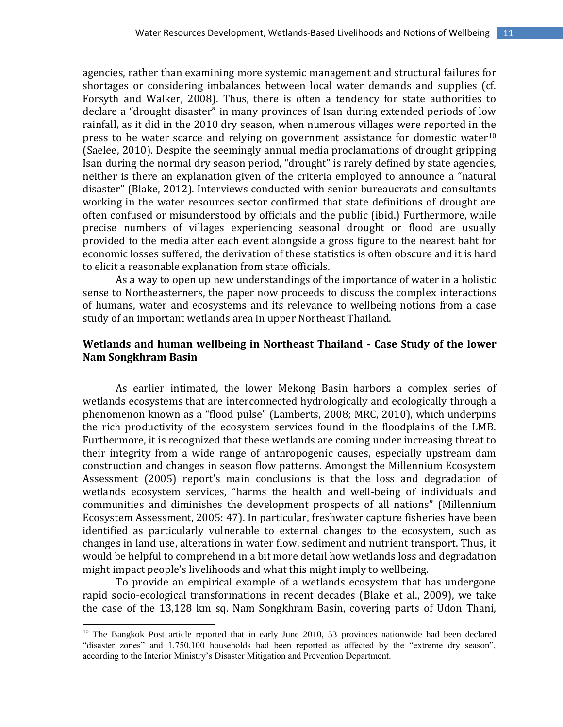agencies, rather than examining more systemic management and structural failures for shortages or considering imbalances between local water demands and supplies (cf. Forsyth and Walker, 2008). Thus, there is often a tendency for state authorities to declare a "drought disaster" in many provinces of Isan during extended periods of low rainfall, as it did in the 2010 dry season, when numerous villages were reported in the press to be water scarce and relying on government assistance for domestic water<sup>10</sup> (Saelee, 2010). Despite the seemingly annual media proclamations of drought gripping Isan during the normal dry season period, "drought" is rarely defined by state agencies, neither is there an explanation given of the criteria employed to announce a "natural disaster" (Blake, 2012). Interviews conducted with senior bureaucrats and consultants working in the water resources sector confirmed that state definitions of drought are often confused or misunderstood by officials and the public (ibid.) Furthermore, while precise numbers of villages experiencing seasonal drought or flood are usually provided to the media after each event alongside a gross figure to the nearest baht for economic losses suffered, the derivation of these statistics is often obscure and it is hard to elicit a reasonable explanation from state officials.

As a way to open up new understandings of the importance of water in a holistic sense to Northeasterners, the paper now proceeds to discuss the complex interactions of humans, water and ecosystems and its relevance to wellbeing notions from a case study of an important wetlands area in upper Northeast Thailand.

# **Wetlands and human wellbeing in Northeast Thailand - Case Study of the lower Nam Songkhram Basin**

As earlier intimated, the lower Mekong Basin harbors a complex series of wetlands ecosystems that are interconnected hydrologically and ecologically through a phenomenon known as a "flood pulse" (Lamberts, 2008; MRC, 2010), which underpins the rich productivity of the ecosystem services found in the floodplains of the LMB. Furthermore, it is recognized that these wetlands are coming under increasing threat to their integrity from a wide range of anthropogenic causes, especially upstream dam construction and changes in season flow patterns. Amongst the Millennium Ecosystem Assessment (2005) report's main conclusions is that the loss and degradation of wetlands ecosystem services, "harms the health and well-being of individuals and communities and diminishes the development prospects of all nations" (Millennium Ecosystem Assessment, 2005: 47). In particular, freshwater capture fisheries have been identified as particularly vulnerable to external changes to the ecosystem, such as changes in land use, alterations in water flow, sediment and nutrient transport. Thus, it would be helpful to comprehend in a bit more detail how wetlands loss and degradation might impact people's livelihoods and what this might imply to wellbeing.

To provide an empirical example of a wetlands ecosystem that has undergone rapid socio-ecological transformations in recent decades (Blake et al., 2009), we take the case of the 13,128 km sq. Nam Songkhram Basin, covering parts of Udon Thani,

 $10$  The Bangkok Post article reported that in early June 2010, 53 provinces nationwide had been declared "disaster zones" and 1,750,100 households had been reported as affected by the "extreme dry season", according to the Interior Ministry's Disaster Mitigation and Prevention Department.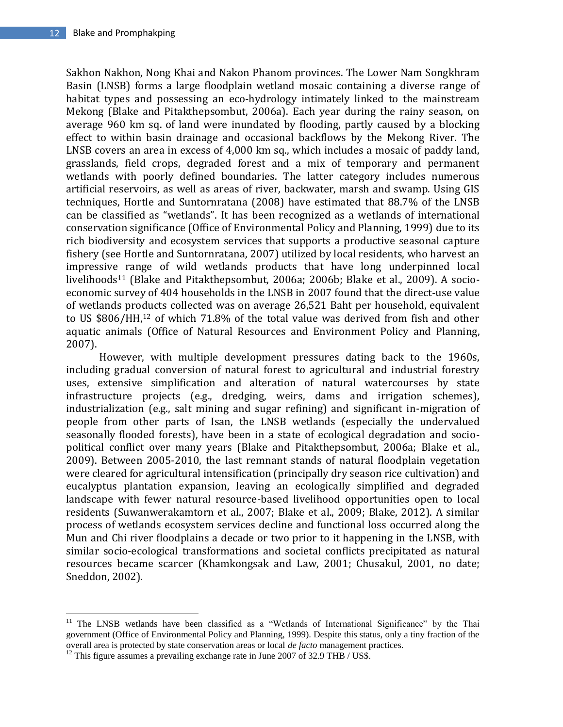Sakhon Nakhon, Nong Khai and Nakon Phanom provinces. The Lower Nam Songkhram Basin (LNSB) forms a large floodplain wetland mosaic containing a diverse range of habitat types and possessing an eco-hydrology intimately linked to the mainstream Mekong (Blake and Pitakthepsombut, 2006a). Each year during the rainy season, on average 960 km sq. of land were inundated by flooding, partly caused by a blocking effect to within basin drainage and occasional backflows by the Mekong River. The LNSB covers an area in excess of 4,000 km sq., which includes a mosaic of paddy land, grasslands, field crops, degraded forest and a mix of temporary and permanent wetlands with poorly defined boundaries. The latter category includes numerous artificial reservoirs, as well as areas of river, backwater, marsh and swamp. Using GIS techniques, Hortle and Suntornratana (2008) have estimated that 88.7% of the LNSB can be classified as "wetlands". It has been recognized as a wetlands of international conservation significance (Office of Environmental Policy and Planning, 1999) due to its rich biodiversity and ecosystem services that supports a productive seasonal capture fishery (see Hortle and Suntornratana, 2007) utilized by local residents, who harvest an impressive range of wild wetlands products that have long underpinned local livelihoods<sup>11</sup> (Blake and Pitakthepsombut, 2006a; 2006b; Blake et al., 2009). A socioeconomic survey of 404 households in the LNSB in 2007 found that the direct-use value of wetlands products collected was on average 26,521 Baht per household, equivalent to US \$806/HH,<sup>12</sup> of which 71.8% of the total value was derived from fish and other aquatic animals (Office of Natural Resources and Environment Policy and Planning, 2007).

However, with multiple development pressures dating back to the 1960s, including gradual conversion of natural forest to agricultural and industrial forestry uses, extensive simplification and alteration of natural watercourses by state infrastructure projects (e.g., dredging, weirs, dams and irrigation schemes), industrialization (e.g., salt mining and sugar refining) and significant in-migration of people from other parts of Isan, the LNSB wetlands (especially the undervalued seasonally flooded forests), have been in a state of ecological degradation and sociopolitical conflict over many years (Blake and Pitakthepsombut, 2006a; Blake et al., 2009). Between 2005-2010, the last remnant stands of natural floodplain vegetation were cleared for agricultural intensification (principally dry season rice cultivation) and eucalyptus plantation expansion, leaving an ecologically simplified and degraded landscape with fewer natural resource-based livelihood opportunities open to local residents (Suwanwerakamtorn et al., 2007; Blake et al., 2009; Blake, 2012). A similar process of wetlands ecosystem services decline and functional loss occurred along the Mun and Chi river floodplains a decade or two prior to it happening in the LNSB, with similar socio-ecological transformations and societal conflicts precipitated as natural resources became scarcer (Khamkongsak and Law, 2001; Chusakul, 2001, no date; Sneddon, 2002).

<sup>&</sup>lt;sup>11</sup> The LNSB wetlands have been classified as a "Wetlands of International Significance" by the Thai government (Office of Environmental Policy and Planning, 1999). Despite this status, only a tiny fraction of the overall area is protected by state conservation areas or local *de facto* management practices.

 $12$  This figure assumes a prevailing exchange rate in June 2007 of 32.9 THB / US\$.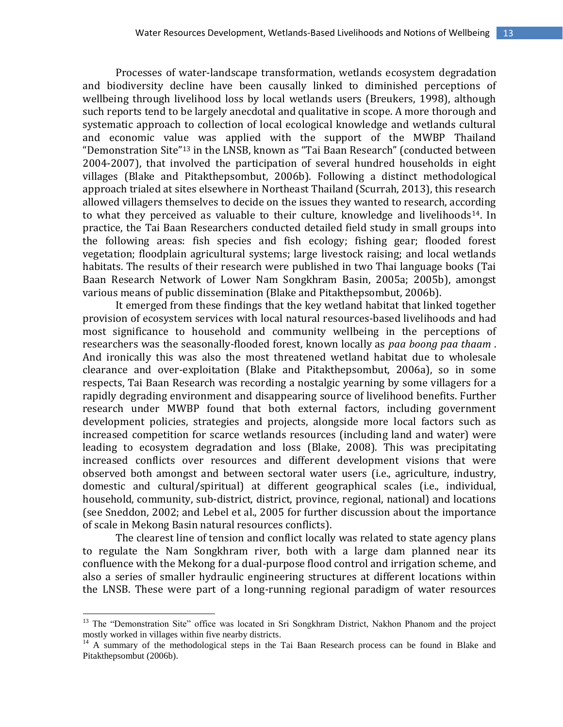Processes of water-landscape transformation, wetlands ecosystem degradation and biodiversity decline have been causally linked to diminished perceptions of wellbeing through livelihood loss by local wetlands users (Breukers, 1998), although such reports tend to be largely anecdotal and qualitative in scope. A more thorough and systematic approach to collection of local ecological knowledge and wetlands cultural and economic value was applied with the support of the MWBP Thailand "Demonstration Site"<sup>13</sup> in the LNSB, known as "Tai Baan Research" (conducted between 2004-2007), that involved the participation of several hundred households in eight villages (Blake and Pitakthepsombut, 2006b). Following a distinct methodological approach trialed at sites elsewhere in Northeast Thailand (Scurrah, 2013), this research allowed villagers themselves to decide on the issues they wanted to research, according to what they perceived as valuable to their culture, knowledge and livelihoods<sup>14</sup>. In practice, the Tai Baan Researchers conducted detailed field study in small groups into the following areas: fish species and fish ecology; fishing gear; flooded forest vegetation; floodplain agricultural systems; large livestock raising; and local wetlands habitats. The results of their research were published in two Thai language books (Tai Baan Research Network of Lower Nam Songkhram Basin, 2005a; 2005b), amongst various means of public dissemination (Blake and Pitakthepsombut, 2006b).

It emerged from these findings that the key wetland habitat that linked together provision of ecosystem services with local natural resources-based livelihoods and had most significance to household and community wellbeing in the perceptions of researchers was the seasonally-flooded forest, known locally as *paa boong paa thaam* . And ironically this was also the most threatened wetland habitat due to wholesale clearance and over-exploitation (Blake and Pitakthepsombut, 2006a), so in some respects, Tai Baan Research was recording a nostalgic yearning by some villagers for a rapidly degrading environment and disappearing source of livelihood benefits. Further research under MWBP found that both external factors, including government development policies, strategies and projects, alongside more local factors such as increased competition for scarce wetlands resources (including land and water) were leading to ecosystem degradation and loss (Blake, 2008). This was precipitating increased conflicts over resources and different development visions that were observed both amongst and between sectoral water users (i.e., agriculture, industry, domestic and cultural/spiritual) at different geographical scales (i.e., individual, household, community, sub-district, district, province, regional, national) and locations (see Sneddon, 2002; and Lebel et al., 2005 for further discussion about the importance of scale in Mekong Basin natural resources conflicts).

The clearest line of tension and conflict locally was related to state agency plans to regulate the Nam Songkhram river, both with a large dam planned near its confluence with the Mekong for a dual-purpose flood control and irrigation scheme, and also a series of smaller hydraulic engineering structures at different locations within the LNSB. These were part of a long-running regional paradigm of water resources

<sup>&</sup>lt;sup>13</sup> The "Demonstration Site" office was located in Sri Songkhram District, Nakhon Phanom and the project mostly worked in villages within five nearby districts.

<sup>&</sup>lt;sup>14</sup> A summary of the methodological steps in the Tai Baan Research process can be found in Blake and Pitakthepsombut (2006b).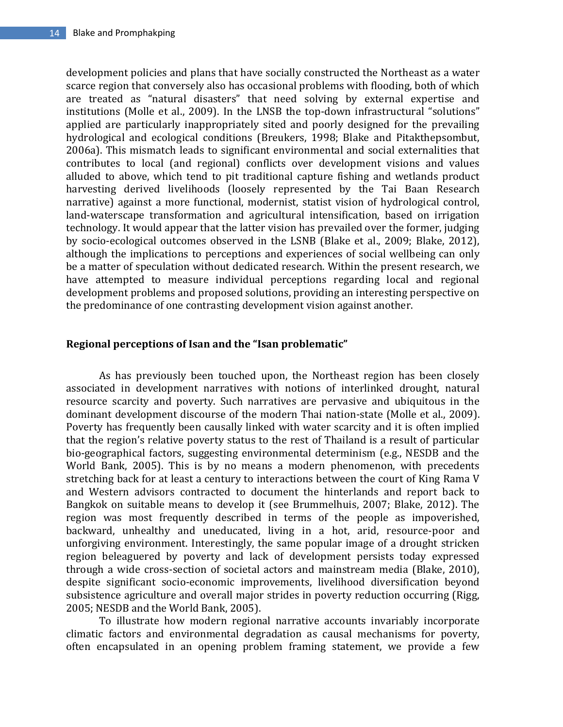development policies and plans that have socially constructed the Northeast as a water scarce region that conversely also has occasional problems with flooding, both of which are treated as "natural disasters" that need solving by external expertise and institutions (Molle et al., 2009). In the LNSB the top-down infrastructural "solutions" applied are particularly inappropriately sited and poorly designed for the prevailing hydrological and ecological conditions (Breukers, 1998; Blake and Pitakthepsombut, 2006a). This mismatch leads to significant environmental and social externalities that contributes to local (and regional) conflicts over development visions and values alluded to above, which tend to pit traditional capture fishing and wetlands product harvesting derived livelihoods (loosely represented by the Tai Baan Research narrative) against a more functional, modernist, statist vision of hydrological control, land-waterscape transformation and agricultural intensification, based on irrigation technology. It would appear that the latter vision has prevailed over the former, judging by socio-ecological outcomes observed in the LSNB (Blake et al., 2009; Blake, 2012), although the implications to perceptions and experiences of social wellbeing can only be a matter of speculation without dedicated research. Within the present research, we have attempted to measure individual perceptions regarding local and regional development problems and proposed solutions, providing an interesting perspective on the predominance of one contrasting development vision against another.

## **Regional perceptions of Isan and the "Isan problematic"**

As has previously been touched upon, the Northeast region has been closely associated in development narratives with notions of interlinked drought, natural resource scarcity and poverty. Such narratives are pervasive and ubiquitous in the dominant development discourse of the modern Thai nation-state (Molle et al., 2009). Poverty has frequently been causally linked with water scarcity and it is often implied that the region's relative poverty status to the rest of Thailand is a result of particular bio-geographical factors, suggesting environmental determinism (e.g., NESDB and the World Bank, 2005). This is by no means a modern phenomenon, with precedents stretching back for at least a century to interactions between the court of King Rama V and Western advisors contracted to document the hinterlands and report back to Bangkok on suitable means to develop it (see Brummelhuis, 2007; Blake, 2012). The region was most frequently described in terms of the people as impoverished, backward, unhealthy and uneducated, living in a hot, arid, resource-poor and unforgiving environment. Interestingly, the same popular image of a drought stricken region beleaguered by poverty and lack of development persists today expressed through a wide cross-section of societal actors and mainstream media (Blake, 2010), despite significant socio-economic improvements, livelihood diversification beyond subsistence agriculture and overall major strides in poverty reduction occurring (Rigg, 2005; NESDB and the World Bank, 2005).

To illustrate how modern regional narrative accounts invariably incorporate climatic factors and environmental degradation as causal mechanisms for poverty, often encapsulated in an opening problem framing statement, we provide a few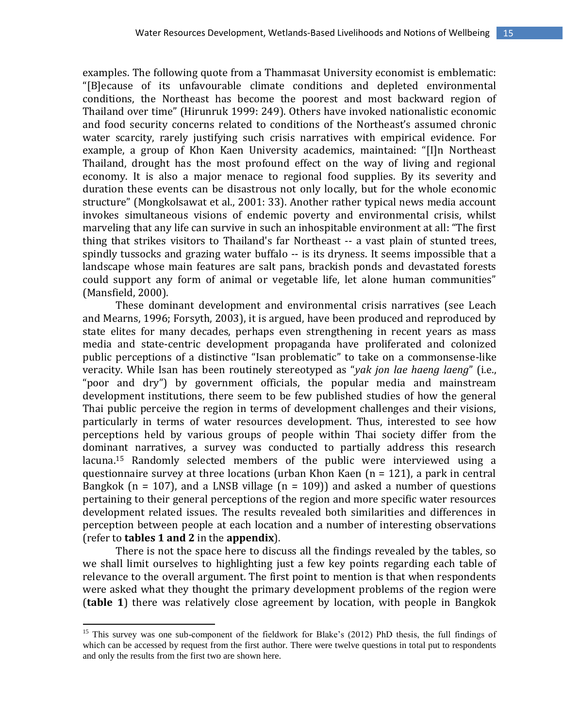examples. The following quote from a Thammasat University economist is emblematic: "[B]ecause of its unfavourable climate conditions and depleted environmental conditions, the Northeast has become the poorest and most backward region of Thailand over time" (Hirunruk 1999: 249). Others have invoked nationalistic economic and food security concerns related to conditions of the Northeast's assumed chronic water scarcity, rarely justifying such crisis narratives with empirical evidence. For example, a group of Khon Kaen University academics, maintained: "[I]n Northeast Thailand, drought has the most profound effect on the way of living and regional economy. It is also a major menace to regional food supplies. By its severity and duration these events can be disastrous not only locally, but for the whole economic structure" (Mongkolsawat et al., 2001: 33). Another rather typical news media account invokes simultaneous visions of endemic poverty and environmental crisis, whilst marveling that any life can survive in such an inhospitable environment at all: "The first thing that strikes visitors to Thailand's far Northeast -- a vast plain of stunted trees, spindly tussocks and grazing water buffalo -- is its dryness. It seems impossible that a landscape whose main features are salt pans, brackish ponds and devastated forests could support any form of animal or vegetable life, let alone human communities" (Mansfield, 2000).

These dominant development and environmental crisis narratives (see Leach and Mearns, 1996; Forsyth, 2003), it is argued, have been produced and reproduced by state elites for many decades, perhaps even strengthening in recent years as mass media and state-centric development propaganda have proliferated and colonized public perceptions of a distinctive "Isan problematic" to take on a commonsense-like veracity. While Isan has been routinely stereotyped as "*yak jon lae haeng laeng*" (i.e., "poor and dry") by government officials, the popular media and mainstream development institutions, there seem to be few published studies of how the general Thai public perceive the region in terms of development challenges and their visions, particularly in terms of water resources development. Thus, interested to see how perceptions held by various groups of people within Thai society differ from the dominant narratives, a survey was conducted to partially address this research lacuna.<sup>15</sup> Randomly selected members of the public were interviewed using a questionnaire survey at three locations (urban Khon Kaen  $(n = 121)$ , a park in central Bangkok ( $n = 107$ ), and a LNSB village ( $n = 109$ )) and asked a number of questions pertaining to their general perceptions of the region and more specific water resources development related issues. The results revealed both similarities and differences in perception between people at each location and a number of interesting observations (refer to **tables 1 and 2** in the **appendix**).

There is not the space here to discuss all the findings revealed by the tables, so we shall limit ourselves to highlighting just a few key points regarding each table of relevance to the overall argument. The first point to mention is that when respondents were asked what they thought the primary development problems of the region were (**table 1**) there was relatively close agreement by location, with people in Bangkok

<sup>&</sup>lt;sup>15</sup> This survey was one sub-component of the fieldwork for Blake's (2012) PhD thesis, the full findings of which can be accessed by request from the first author. There were twelve questions in total put to respondents and only the results from the first two are shown here.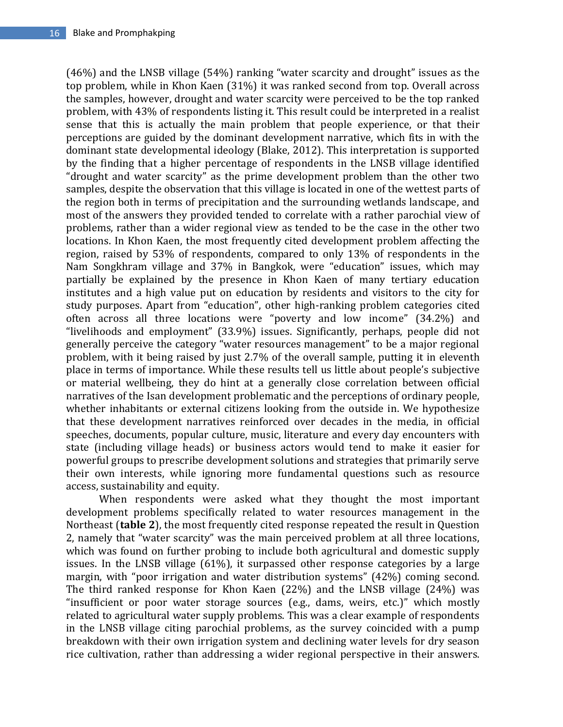(46%) and the LNSB village (54%) ranking "water scarcity and drought" issues as the top problem, while in Khon Kaen (31%) it was ranked second from top. Overall across the samples, however, drought and water scarcity were perceived to be the top ranked problem, with 43% of respondents listing it. This result could be interpreted in a realist sense that this is actually the main problem that people experience, or that their perceptions are guided by the dominant development narrative, which fits in with the dominant state developmental ideology (Blake, 2012). This interpretation is supported by the finding that a higher percentage of respondents in the LNSB village identified "drought and water scarcity" as the prime development problem than the other two samples, despite the observation that this village is located in one of the wettest parts of the region both in terms of precipitation and the surrounding wetlands landscape, and most of the answers they provided tended to correlate with a rather parochial view of problems, rather than a wider regional view as tended to be the case in the other two locations. In Khon Kaen, the most frequently cited development problem affecting the region, raised by 53% of respondents, compared to only 13% of respondents in the Nam Songkhram village and 37% in Bangkok, were "education" issues, which may partially be explained by the presence in Khon Kaen of many tertiary education institutes and a high value put on education by residents and visitors to the city for study purposes. Apart from "education", other high-ranking problem categories cited often across all three locations were "poverty and low income" (34.2%) and "livelihoods and employment" (33.9%) issues. Significantly, perhaps, people did not generally perceive the category "water resources management" to be a major regional problem, with it being raised by just 2.7% of the overall sample, putting it in eleventh place in terms of importance. While these results tell us little about people's subjective or material wellbeing, they do hint at a generally close correlation between official narratives of the Isan development problematic and the perceptions of ordinary people, whether inhabitants or external citizens looking from the outside in. We hypothesize that these development narratives reinforced over decades in the media, in official speeches, documents, popular culture, music, literature and every day encounters with state (including village heads) or business actors would tend to make it easier for powerful groups to prescribe development solutions and strategies that primarily serve their own interests, while ignoring more fundamental questions such as resource access, sustainability and equity.

When respondents were asked what they thought the most important development problems specifically related to water resources management in the Northeast (**table 2**), the most frequently cited response repeated the result in Question 2, namely that "water scarcity" was the main perceived problem at all three locations, which was found on further probing to include both agricultural and domestic supply issues. In the LNSB village (61%), it surpassed other response categories by a large margin, with "poor irrigation and water distribution systems" (42%) coming second. The third ranked response for Khon Kaen (22%) and the LNSB village (24%) was "insufficient or poor water storage sources (e.g., dams, weirs, etc.)" which mostly related to agricultural water supply problems. This was a clear example of respondents in the LNSB village citing parochial problems, as the survey coincided with a pump breakdown with their own irrigation system and declining water levels for dry season rice cultivation, rather than addressing a wider regional perspective in their answers.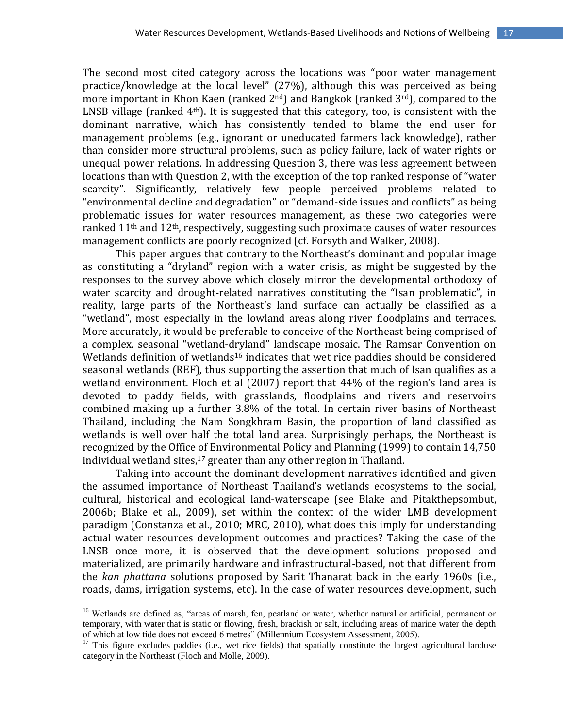The second most cited category across the locations was "poor water management practice/knowledge at the local level" (27%), although this was perceived as being more important in Khon Kaen (ranked  $2^{nd}$ ) and Bangkok (ranked  $3^{rd}$ ), compared to the LNSB village (ranked  $4<sup>th</sup>$ ). It is suggested that this category, too, is consistent with the dominant narrative, which has consistently tended to blame the end user for management problems (e.g., ignorant or uneducated farmers lack knowledge), rather than consider more structural problems, such as policy failure, lack of water rights or unequal power relations. In addressing Question 3, there was less agreement between locations than with Question 2, with the exception of the top ranked response of "water scarcity". Significantly, relatively few people perceived problems related to "environmental decline and degradation" or "demand-side issues and conflicts" as being problematic issues for water resources management, as these two categories were ranked 11th and 12th, respectively, suggesting such proximate causes of water resources management conflicts are poorly recognized (cf. Forsyth and Walker, 2008).

This paper argues that contrary to the Northeast's dominant and popular image as constituting a "dryland" region with a water crisis, as might be suggested by the responses to the survey above which closely mirror the developmental orthodoxy of water scarcity and drought-related narratives constituting the "Isan problematic", in reality, large parts of the Northeast's land surface can actually be classified as a "wetland", most especially in the lowland areas along river floodplains and terraces. More accurately, it would be preferable to conceive of the Northeast being comprised of a complex, seasonal "wetland-dryland" landscape mosaic. The Ramsar Convention on Wetlands definition of wetlands<sup>16</sup> indicates that wet rice paddies should be considered seasonal wetlands (REF), thus supporting the assertion that much of Isan qualifies as a wetland environment. Floch et al (2007) report that 44% of the region's land area is devoted to paddy fields, with grasslands, floodplains and rivers and reservoirs combined making up a further 3.8% of the total. In certain river basins of Northeast Thailand, including the Nam Songkhram Basin, the proportion of land classified as wetlands is well over half the total land area. Surprisingly perhaps, the Northeast is recognized by the Office of Environmental Policy and Planning (1999) to contain 14,750 individual wetland sites,<sup>17</sup> greater than any other region in Thailand.

Taking into account the dominant development narratives identified and given the assumed importance of Northeast Thailand's wetlands ecosystems to the social, cultural, historical and ecological land-waterscape (see Blake and Pitakthepsombut, 2006b; Blake et al., 2009), set within the context of the wider LMB development paradigm (Constanza et al., 2010; MRC, 2010), what does this imply for understanding actual water resources development outcomes and practices? Taking the case of the LNSB once more, it is observed that the development solutions proposed and materialized, are primarily hardware and infrastructural-based, not that different from the *kan phattana* solutions proposed by Sarit Thanarat back in the early 1960s (i.e., roads, dams, irrigation systems, etc). In the case of water resources development, such

 $\overline{a}$ 

<sup>&</sup>lt;sup>16</sup> Wetlands are defined as, "areas of marsh, fen, peatland or water, whether natural or artificial, permanent or temporary, with water that is static or flowing, fresh, brackish or salt, including areas of marine water the depth of which at low tide does not exceed 6 metres" (Millennium Ecosystem Assessment, 2005).

<sup>&</sup>lt;sup>17</sup> This figure excludes paddies (i.e., wet rice fields) that spatially constitute the largest agricultural landuse category in the Northeast (Floch and Molle, 2009).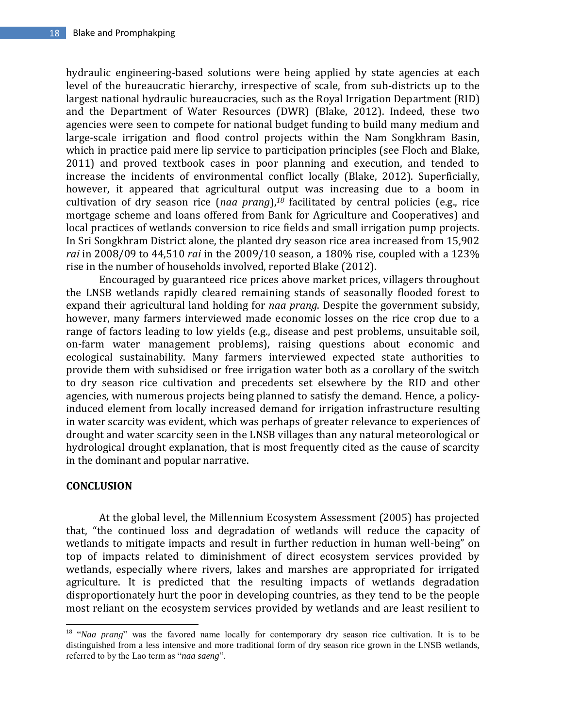hydraulic engineering-based solutions were being applied by state agencies at each level of the bureaucratic hierarchy, irrespective of scale, from sub-districts up to the largest national hydraulic bureaucracies, such as the Royal Irrigation Department (RID) and the Department of Water Resources (DWR) (Blake, 2012). Indeed, these two agencies were seen to compete for national budget funding to build many medium and large-scale irrigation and flood control projects within the Nam Songkhram Basin, which in practice paid mere lip service to participation principles (see Floch and Blake, 2011) and proved textbook cases in poor planning and execution, and tended to increase the incidents of environmental conflict locally (Blake, 2012). Superficially, however, it appeared that agricultural output was increasing due to a boom in cultivation of dry season rice (*naa prang*),*<sup>18</sup>* facilitated by central policies (e.g., rice mortgage scheme and loans offered from Bank for Agriculture and Cooperatives) and local practices of wetlands conversion to rice fields and small irrigation pump projects. In Sri Songkhram District alone, the planted dry season rice area increased from 15,902 *rai* in 2008/09 to 44,510 *rai* in the 2009/10 season, a 180% rise, coupled with a 123% rise in the number of households involved, reported Blake (2012).

Encouraged by guaranteed rice prices above market prices, villagers throughout the LNSB wetlands rapidly cleared remaining stands of seasonally flooded forest to expand their agricultural land holding for *naa prang*. Despite the government subsidy, however, many farmers interviewed made economic losses on the rice crop due to a range of factors leading to low yields (e.g., disease and pest problems, unsuitable soil, on-farm water management problems), raising questions about economic and ecological sustainability. Many farmers interviewed expected state authorities to provide them with subsidised or free irrigation water both as a corollary of the switch to dry season rice cultivation and precedents set elsewhere by the RID and other agencies, with numerous projects being planned to satisfy the demand. Hence, a policyinduced element from locally increased demand for irrigation infrastructure resulting in water scarcity was evident, which was perhaps of greater relevance to experiences of drought and water scarcity seen in the LNSB villages than any natural meteorological or hydrological drought explanation, that is most frequently cited as the cause of scarcity in the dominant and popular narrative.

## **CONCLUSION**

At the global level, the Millennium Ecosystem Assessment (2005) has projected that, "the continued loss and degradation of wetlands will reduce the capacity of wetlands to mitigate impacts and result in further reduction in human well-being" on top of impacts related to diminishment of direct ecosystem services provided by wetlands, especially where rivers, lakes and marshes are appropriated for irrigated agriculture. It is predicted that the resulting impacts of wetlands degradation disproportionately hurt the poor in developing countries, as they tend to be the people most reliant on the ecosystem services provided by wetlands and are least resilient to

 $\overline{\phantom{a}}$ <sup>18</sup> "*Naa prang*" was the favored name locally for contemporary dry season rice cultivation. It is to be distinguished from a less intensive and more traditional form of dry season rice grown in the LNSB wetlands, referred to by the Lao term as "*naa saeng*".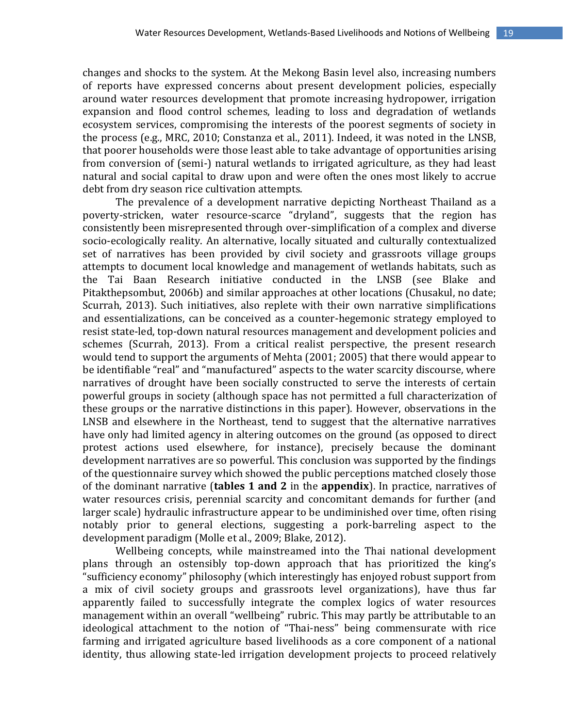changes and shocks to the system. At the Mekong Basin level also, increasing numbers of reports have expressed concerns about present development policies, especially around water resources development that promote increasing hydropower, irrigation expansion and flood control schemes, leading to loss and degradation of wetlands ecosystem services, compromising the interests of the poorest segments of society in the process (e.g., MRC, 2010; Constanza et al., 2011). Indeed, it was noted in the LNSB, that poorer households were those least able to take advantage of opportunities arising from conversion of (semi-) natural wetlands to irrigated agriculture, as they had least natural and social capital to draw upon and were often the ones most likely to accrue debt from dry season rice cultivation attempts.

The prevalence of a development narrative depicting Northeast Thailand as a poverty-stricken, water resource-scarce "dryland", suggests that the region has consistently been misrepresented through over-simplification of a complex and diverse socio-ecologically reality. An alternative, locally situated and culturally contextualized set of narratives has been provided by civil society and grassroots village groups attempts to document local knowledge and management of wetlands habitats, such as the Tai Baan Research initiative conducted in the LNSB (see Blake and Pitakthepsombut, 2006b) and similar approaches at other locations (Chusakul, no date; Scurrah, 2013). Such initiatives, also replete with their own narrative simplifications and essentializations, can be conceived as a counter-hegemonic strategy employed to resist state-led, top-down natural resources management and development policies and schemes (Scurrah, 2013). From a critical realist perspective, the present research would tend to support the arguments of Mehta (2001; 2005) that there would appear to be identifiable "real" and "manufactured" aspects to the water scarcity discourse, where narratives of drought have been socially constructed to serve the interests of certain powerful groups in society (although space has not permitted a full characterization of these groups or the narrative distinctions in this paper). However, observations in the LNSB and elsewhere in the Northeast, tend to suggest that the alternative narratives have only had limited agency in altering outcomes on the ground (as opposed to direct protest actions used elsewhere, for instance), precisely because the dominant development narratives are so powerful. This conclusion was supported by the findings of the questionnaire survey which showed the public perceptions matched closely those of the dominant narrative (**tables 1 and 2** in the **appendix**). In practice, narratives of water resources crisis, perennial scarcity and concomitant demands for further (and larger scale) hydraulic infrastructure appear to be undiminished over time, often rising notably prior to general elections, suggesting a pork-barreling aspect to the development paradigm (Molle et al., 2009; Blake, 2012).

Wellbeing concepts, while mainstreamed into the Thai national development plans through an ostensibly top-down approach that has prioritized the king's "sufficiency economy" philosophy (which interestingly has enjoyed robust support from a mix of civil society groups and grassroots level organizations), have thus far apparently failed to successfully integrate the complex logics of water resources management within an overall "wellbeing" rubric. This may partly be attributable to an ideological attachment to the notion of "Thai-ness" being commensurate with rice farming and irrigated agriculture based livelihoods as a core component of a national identity, thus allowing state-led irrigation development projects to proceed relatively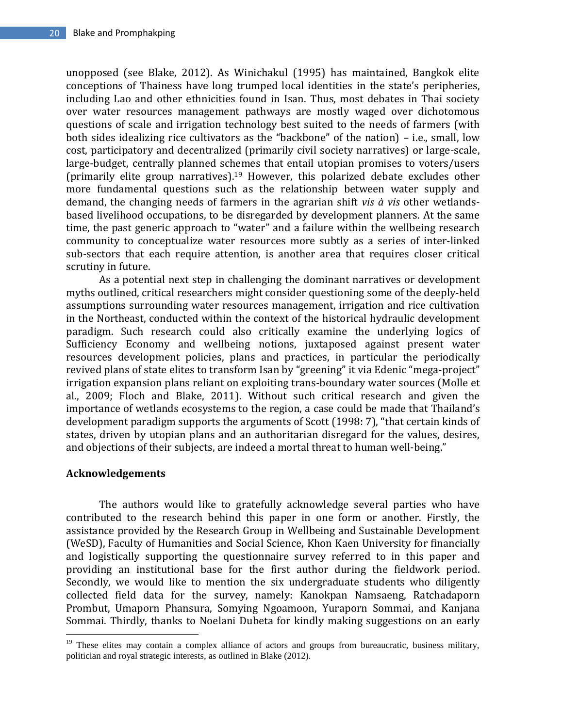unopposed (see Blake, 2012). As Winichakul (1995) has maintained, Bangkok elite conceptions of Thainess have long trumped local identities in the state's peripheries, including Lao and other ethnicities found in Isan. Thus, most debates in Thai society over water resources management pathways are mostly waged over dichotomous questions of scale and irrigation technology best suited to the needs of farmers (with both sides idealizing rice cultivators as the "backbone" of the nation) – i.e., small, low cost, participatory and decentralized (primarily civil society narratives) or large-scale, large-budget, centrally planned schemes that entail utopian promises to voters/users (primarily elite group narratives).<sup>19</sup> However, this polarized debate excludes other more fundamental questions such as the relationship between water supply and demand, the changing needs of farmers in the agrarian shift *vis à vis* other wetlandsbased livelihood occupations, to be disregarded by development planners. At the same time, the past generic approach to "water" and a failure within the wellbeing research community to conceptualize water resources more subtly as a series of inter-linked sub-sectors that each require attention, is another area that requires closer critical scrutiny in future.

As a potential next step in challenging the dominant narratives or development myths outlined, critical researchers might consider questioning some of the deeply-held assumptions surrounding water resources management, irrigation and rice cultivation in the Northeast, conducted within the context of the historical hydraulic development paradigm. Such research could also critically examine the underlying logics of Sufficiency Economy and wellbeing notions, juxtaposed against present water resources development policies, plans and practices, in particular the periodically revived plans of state elites to transform Isan by "greening" it via Edenic "mega-project" irrigation expansion plans reliant on exploiting trans-boundary water sources (Molle et al., 2009; Floch and Blake, 2011). Without such critical research and given the importance of wetlands ecosystems to the region, a case could be made that Thailand's development paradigm supports the arguments of Scott (1998: 7), "that certain kinds of states, driven by utopian plans and an authoritarian disregard for the values, desires, and objections of their subjects, are indeed a mortal threat to human well-being."

## **Acknowledgements**

 $\overline{\phantom{a}}$ 

The authors would like to gratefully acknowledge several parties who have contributed to the research behind this paper in one form or another. Firstly, the assistance provided by the Research Group in Wellbeing and Sustainable Development (WeSD), Faculty of Humanities and Social Science, Khon Kaen University for financially and logistically supporting the questionnaire survey referred to in this paper and providing an institutional base for the first author during the fieldwork period. Secondly, we would like to mention the six undergraduate students who diligently collected field data for the survey, namely: Kanokpan Namsaeng, Ratchadaporn Prombut, Umaporn Phansura, Somying Ngoamoon, Yuraporn Sommai, and Kanjana Sommai. Thirdly, thanks to Noelani Dubeta for kindly making suggestions on an early

<sup>&</sup>lt;sup>19</sup> These elites may contain a complex alliance of actors and groups from bureaucratic, business military, politician and royal strategic interests, as outlined in Blake (2012).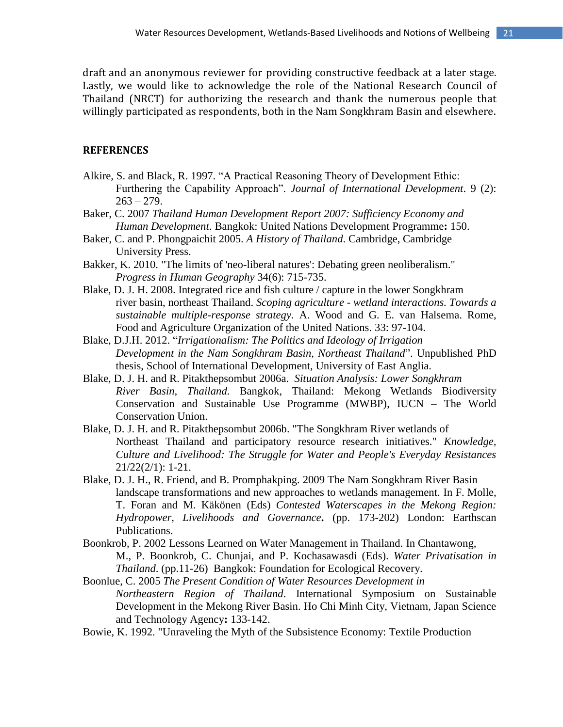draft and an anonymous reviewer for providing constructive feedback at a later stage. Lastly, we would like to acknowledge the role of the National Research Council of Thailand (NRCT) for authorizing the research and thank the numerous people that willingly participated as respondents, both in the Nam Songkhram Basin and elsewhere.

## **REFERENCES**

- Alkire, S. and Black, R. 1997. "A Practical Reasoning Theory of Development Ethic: Furthering the Capability Approach". *Journal of International Development*. 9 (2):  $263 - 279.$
- Baker, C. 2007 *Thailand Human Development Report 2007: Sufficiency Economy and Human Development*. Bangkok: United Nations Development Programme**:** 150.
- Baker, C. and P. Phongpaichit 2005. *A History of Thailand*. Cambridge, Cambridge University Press.
- Bakker, K. 2010. "The limits of 'neo-liberal natures': Debating green neoliberalism." *Progress in Human Geography* 34(6): 715-735.
- Blake, D. J. H. 2008. Integrated rice and fish culture / capture in the lower Songkhram river basin, northeast Thailand. *Scoping agriculture - wetland interactions. Towards a sustainable multiple-response strategy.* A. Wood and G. E. van Halsema. Rome, Food and Agriculture Organization of the United Nations. 33: 97-104.
- Blake, D.J.H. 2012. "*Irrigationalism: The Politics and Ideology of Irrigation Development in the Nam Songkhram Basin, Northeast Thailand*". Unpublished PhD thesis, School of International Development, University of East Anglia.
- Blake, D. J. H. and R. Pitakthepsombut 2006a. *Situation Analysis: Lower Songkhram River Basin, Thailand*. Bangkok, Thailand: Mekong Wetlands Biodiversity Conservation and Sustainable Use Programme (MWBP), IUCN – The World Conservation Union.
- Blake, D. J. H. and R. Pitakthepsombut 2006b. "The Songkhram River wetlands of Northeast Thailand and participatory resource research initiatives." *Knowledge, Culture and Livelihood: The Struggle for Water and People's Everyday Resistances* 21/22(2/1): 1-21.
- Blake, D. J. H., R. Friend, and B. Promphakping. 2009 The Nam Songkhram River Basin landscape transformations and new approaches to wetlands management. In F. Molle, T. Foran and M. Käkönen (Eds) *Contested Waterscapes in the Mekong Region: Hydropower, Livelihoods and Governance***.** (pp. 173-202) London: Earthscan Publications.
- Boonkrob, P. 2002 Lessons Learned on Water Management in Thailand. In Chantawong, M., P. Boonkrob, C. Chunjai, and P. Kochasawasdi (Eds). *Water Privatisation in Thailand*. (pp.11-26) Bangkok: Foundation for Ecological Recovery.
- Boonlue, C. 2005 *The Present Condition of Water Resources Development in Northeastern Region of Thailand*. International Symposium on Sustainable Development in the Mekong River Basin. Ho Chi Minh City, Vietnam, Japan Science and Technology Agency**:** 133-142.
- Bowie, K. 1992. "Unraveling the Myth of the Subsistence Economy: Textile Production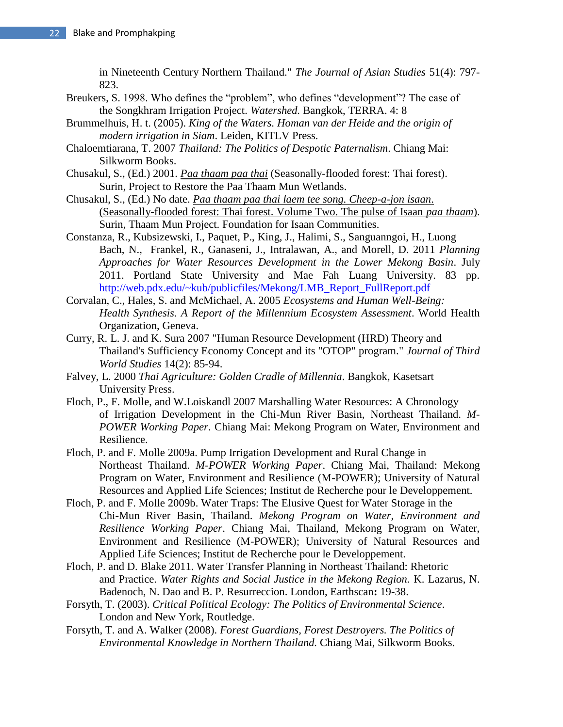in Nineteenth Century Northern Thailand." *The Journal of Asian Studies* 51(4): 797- 823.

- Breukers, S. 1998. Who defines the "problem", who defines "development"? The case of the Songkhram Irrigation Project. *Watershed.* Bangkok, TERRA. 4: 8
- Brummelhuis, H. t. (2005). *King of the Waters. Homan van der Heide and the origin of modern irrigation in Siam*. Leiden, KITLV Press.
- Chaloemtiarana, T. 2007 *Thailand: The Politics of Despotic Paternalism*. Chiang Mai: Silkworm Books.
- Chusakul, S., (Ed.) 2001. *Paa thaam paa thai* (Seasonally-flooded forest: Thai forest). Surin, Project to Restore the Paa Thaam Mun Wetlands.
- Chusakul, S., (Ed.) No date. *Paa thaam paa thai laem tee song. Cheep-a-jon isaan*. (Seasonally-flooded forest: Thai forest. Volume Two. The pulse of Isaan *paa thaam*). Surin, Thaam Mun Project. Foundation for Isaan Communities.
- Constanza, R., Kubsizewski, I., Paquet, P., King, J., Halimi, S., Sanguanngoi, H., Luong Bach, N., Frankel, R., Ganaseni, J., Intralawan, A., and Morell, D. 2011 *Planning Approaches for Water Resources Development in the Lower Mekong Basin*. July 2011. Portland State University and Mae Fah Luang University. 83 pp. [http://web.pdx.edu/~kub/publicfiles/Mekong/LMB\\_Report\\_FullReport.pdf](http://web.pdx.edu/~kub/publicfiles/Mekong/LMB_Report_FullReport.pdf)
- Corvalan, C., Hales, S. and McMichael, A. 2005 *Ecosystems and Human Well-Being: Health Synthesis. A Report of the Millennium Ecosystem Assessment*. World Health Organization, Geneva.
- Curry, R. L. J. and K. Sura 2007 "Human Resource Development (HRD) Theory and Thailand's Sufficiency Economy Concept and its "OTOP" program." *Journal of Third World Studies* 14(2): 85-94.
- Falvey, L. 2000 *Thai Agriculture: Golden Cradle of Millennia*. Bangkok, Kasetsart University Press.
- Floch, P., F. Molle, and W.Loiskandl 2007 Marshalling Water Resources: A Chronology of Irrigation Development in the Chi-Mun River Basin, Northeast Thailand. *M-POWER Working Paper*. Chiang Mai: Mekong Program on Water, Environment and Resilience.
- Floch, P. and F. Molle 2009a. Pump Irrigation Development and Rural Change in Northeast Thailand. *M-POWER Working Paper*. Chiang Mai, Thailand: Mekong Program on Water, Environment and Resilience (M-POWER); University of Natural Resources and Applied Life Sciences; Institut de Recherche pour le Developpement.
- Floch, P. and F. Molle 2009b. Water Traps: The Elusive Quest for Water Storage in the Chi-Mun River Basin, Thailand. *Mekong Program on Water, Environment and Resilience Working Paper*. Chiang Mai, Thailand, Mekong Program on Water, Environment and Resilience (M-POWER); University of Natural Resources and Applied Life Sciences; Institut de Recherche pour le Developpement.
- Floch, P. and D. Blake 2011. Water Transfer Planning in Northeast Thailand: Rhetoric and Practice. *Water Rights and Social Justice in the Mekong Region.* K. Lazarus, N. Badenoch, N. Dao and B. P. Resurreccion. London, Earthscan**:** 19-38.
- Forsyth, T. (2003). *Critical Political Ecology: The Politics of Environmental Science*. London and New York, Routledge.
- Forsyth, T. and A. Walker (2008). *Forest Guardians, Forest Destroyers. The Politics of Environmental Knowledge in Northern Thailand.* Chiang Mai, Silkworm Books.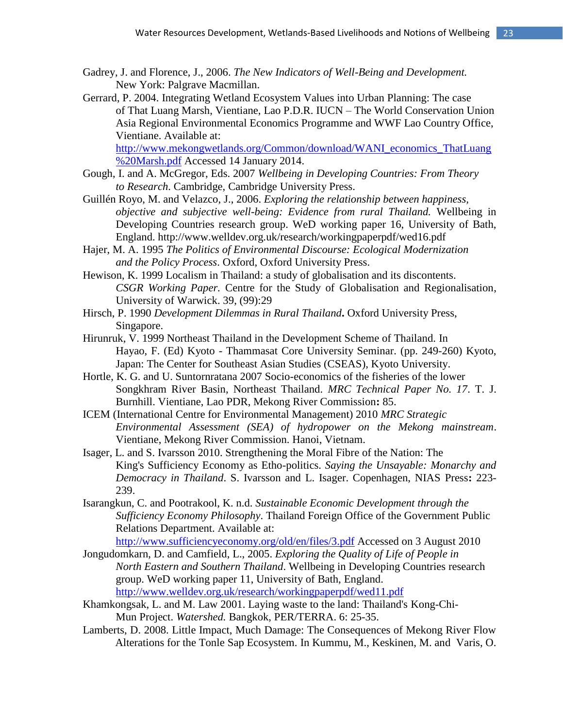- Gadrey, J. and Florence, J., 2006. *The New Indicators of Well-Being and Development.* New York: Palgrave Macmillan.
- Gerrard, P. 2004. Integrating Wetland Ecosystem Values into Urban Planning: The case of That Luang Marsh, Vientiane, Lao P.D.R. IUCN – The World Conservation Union Asia Regional Environmental Economics Programme and WWF Lao Country Office, Vientiane. Available at:

[http://www.mekongwetlands.org/Common/download/WANI\\_economics\\_ThatLuang](http://www.mekongwetlands.org/Common/download/WANI_economics_ThatLuang%20Marsh.pdf) [%20Marsh.pdf](http://www.mekongwetlands.org/Common/download/WANI_economics_ThatLuang%20Marsh.pdf) Accessed 14 January 2014.

- Gough, I. and A. McGregor, Eds. 2007 *Wellbeing in Developing Countries: From Theory to Research*. Cambridge, Cambridge University Press.
- Guillén Royo, M. and Velazco, J., 2006. *Exploring the relationship between happiness, objective and subjective well-being: Evidence from rural Thailand.* Wellbeing in Developing Countries research group. WeD working paper 16, University of Bath, England. http://www.welldev.org.uk/research/workingpaperpdf/wed16.pdf
- Hajer, M. A. 1995 *The Politics of Environmental Discourse: Ecological Modernization and the Policy Process*. Oxford, Oxford University Press.
- Hewison, K. 1999 Localism in Thailand: a study of globalisation and its discontents. *CSGR Working Paper.* Centre for the Study of Globalisation and Regionalisation, University of Warwick. 39, (99):29
- Hirsch, P. 1990 *Development Dilemmas in Rural Thailand***.** Oxford University Press, Singapore.
- Hirunruk, V. 1999 Northeast Thailand in the Development Scheme of Thailand. In Hayao, F. (Ed) Kyoto - Thammasat Core University Seminar. (pp. 249-260) Kyoto, Japan: The Center for Southeast Asian Studies (CSEAS), Kyoto University.
- Hortle, K. G. and U. Suntornratana 2007 Socio-economics of the fisheries of the lower Songkhram River Basin, Northeast Thailand. *MRC Technical Paper No. 17*. T. J. Burnhill. Vientiane, Lao PDR, Mekong River Commission**:** 85.
- ICEM (International Centre for Environmental Management) 2010 *MRC Strategic Environmental Assessment (SEA) of hydropower on the Mekong mainstream*. Vientiane, Mekong River Commission. Hanoi, Vietnam.
- Isager, L. and S. Ivarsson 2010. Strengthening the Moral Fibre of the Nation: The King's Sufficiency Economy as Etho-politics. *Saying the Unsayable: Monarchy and Democracy in Thailand*. S. Ivarsson and L. Isager. Copenhagen, NIAS Press**:** 223- 239.
- Isarangkun, C. and Pootrakool, K. n.d. *Sustainable Economic Development through the Sufficiency Economy Philosophy*. Thailand Foreign Office of the Government Public Relations Department. Available at:

<http://www.sufficiencyeconomy.org/old/en/files/3.pdf> Accessed on 3 August 2010

- Jongudomkarn, D. and Camfield, L., 2005. *Exploring the Quality of Life of People in North Eastern and Southern Thailand*. Wellbeing in Developing Countries research group. WeD working paper 11, University of Bath, England. <http://www.welldev.org.uk/research/workingpaperpdf/wed11.pdf>
- Khamkongsak, L. and M. Law 2001. Laying waste to the land: Thailand's Kong-Chi-Mun Project. *Watershed.* Bangkok, PER/TERRA. 6: 25-35.
- Lamberts, D. 2008. Little Impact, Much Damage: The Consequences of Mekong River Flow Alterations for the Tonle Sap Ecosystem. In Kummu, M., Keskinen, M. and Varis, O.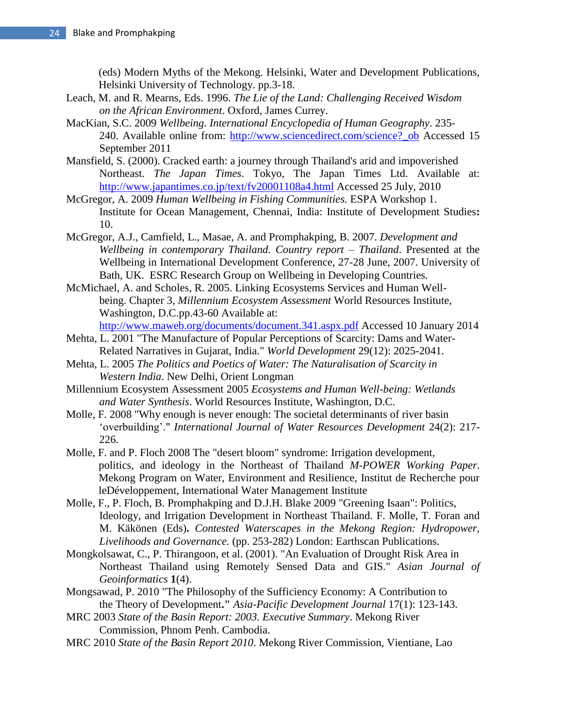(eds) Modern Myths of the Mekong. Helsinki, Water and Development Publications, Helsinki University of Technology. pp.3-18.

- Leach, M. and R. Mearns, Eds. 1996. *The Lie of the Land: Challenging Received Wisdom on the African Environment*. Oxford, James Currey.
- MacKian, S.C. 2009 *Wellbeing. International Encyclopedia of Human Geography*. 235- 240. Available online from: http://www.sciencedirect.com/science? ob Accessed 15 September 2011
- Mansfield, S. (2000). Cracked earth: a journey through Thailand's arid and impoverished Northeast. *The Japan Times*. Tokyo, The Japan Times Ltd. Available at: <http://www.japantimes.co.jp/text/fv20001108a4.html> Accessed 25 July, 2010
- McGregor, A. 2009 *Human Wellbeing in Fishing Communities.* ESPA Workshop 1. Institute for Ocean Management, Chennai, India: Institute of Development Studies**:**  10.
- McGregor, A.J., Camfield, L., Masae, A. and Promphakping, B. 2007. *Development and Wellbeing in contemporary Thailand. Country report – Thailand*. Presented at the Wellbeing in International Development Conference, 27-28 June, 2007. University of Bath, UK. ESRC Research Group on Wellbeing in Developing Countries.
- McMichael, A. and Scholes, R. 2005. Linking Ecosystems Services and Human Wellbeing. Chapter 3, *Millennium Ecosystem Assessment* World Resources Institute, Washington, D.C.pp.43-60 Available at: <http://www.maweb.org/documents/document.341.aspx.pdf> Accessed 10 January 2014
- Mehta, L. 2001 "The Manufacture of Popular Perceptions of Scarcity: Dams and Water-Related Narratives in Gujarat, India." *World Development* 29(12): 2025-2041.
- Mehta, L. 2005 *The Politics and Poetics of Water: The Naturalisation of Scarcity in Western India*. New Delhi, Orient Longman
- Millennium Ecosystem Assessment 2005 *Ecosystems and Human Well-being: Wetlands and Water Synthesis*. World Resources Institute, Washington, D.C.
- Molle, F. 2008 "Why enough is never enough: The societal determinants of river basin 'overbuilding'." *International Journal of Water Resources Development* 24(2): 217- 226.
- Molle, F. and P. Floch 2008 The "desert bloom" syndrome: Irrigation development, politics, and ideology in the Northeast of Thailand *M-POWER Working Paper*. Mekong Program on Water, Environment and Resilience, Institut de Recherche pour leDéveloppement, International Water Management Institute
- Molle, F., P. Floch, B. Promphakping and D.J.H. Blake 2009 "Greening Isaan": Politics, Ideology, and Irrigation Development in Northeast Thailand. F. Molle, T. Foran and M. Käkönen (Eds)**.** *Contested Waterscapes in the Mekong Region: Hydropower, Livelihoods and Governance.* (pp. 253-282) London: Earthscan Publications.
- Mongkolsawat, C., P. Thirangoon, et al. (2001). "An Evaluation of Drought Risk Area in Northeast Thailand using Remotely Sensed Data and GIS." *Asian Journal of Geoinformatics* **1**(4).
- Mongsawad, P. 2010 "The Philosophy of the Sufficiency Economy: A Contribution to the Theory of Development**."** *Asia-Pacific Development Journal* 17(1): 123-143.
- MRC 2003 *State of the Basin Report: 2003. Executive Summary*. Mekong River Commission, Phnom Penh. Cambodia.
- MRC 2010 *State of the Basin Report 2010*. Mekong River Commission, Vientiane, Lao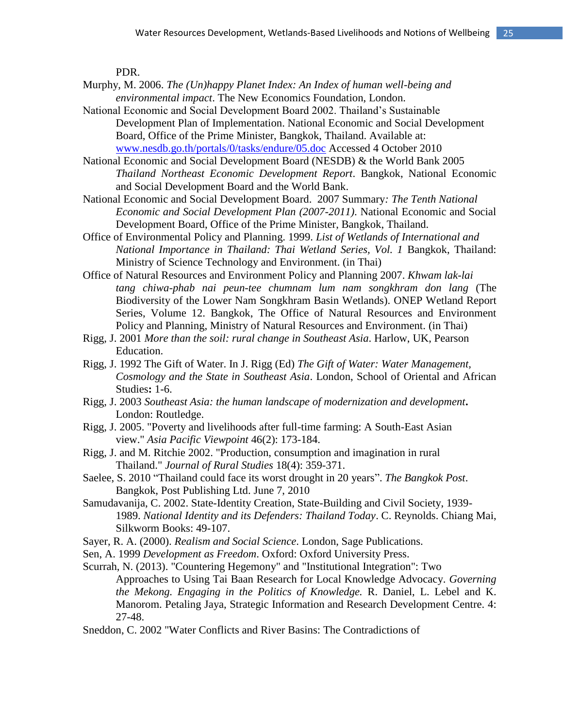PDR.

- Murphy, M. 2006. *The (Un)happy Planet Index: An Index of human well-being and environmental impact*. The New Economics Foundation, London.
- National Economic and Social Development Board 2002. Thailand's Sustainable Development Plan of Implementation. National Economic and Social Development Board, Office of the Prime Minister, Bangkok, Thailand. Available at: [www.nesdb.go.th/portals/0/tasks/endure/05.doc](http://www.nesdb.go.th/portals/0/tasks/endure/05.doc) Accessed 4 October 2010
- National Economic and Social Development Board (NESDB) & the World Bank 2005 *Thailand Northeast Economic Development Report*. Bangkok, National Economic and Social Development Board and the World Bank.
- National Economic and Social Development Board. 2007 Summary*: The Tenth National Economic and Social Development Plan (2007-2011)*. National Economic and Social Development Board, Office of the Prime Minister, Bangkok, Thailand.
- Office of Environmental Policy and Planning. 1999. *List of Wetlands of International and National Importance in Thailand: Thai Wetland Series, Vol. 1* Bangkok, Thailand: Ministry of Science Technology and Environment. (in Thai)
- Office of Natural Resources and Environment Policy and Planning 2007. *Khwam lak-lai tang chiwa-phab nai peun-tee chumnam lum nam songkhram don lang* (The Biodiversity of the Lower Nam Songkhram Basin Wetlands). ONEP Wetland Report Series, Volume 12. Bangkok, The Office of Natural Resources and Environment Policy and Planning, Ministry of Natural Resources and Environment. (in Thai)
- Rigg, J. 2001 *More than the soil: rural change in Southeast Asia*. Harlow, UK, Pearson Education.
- Rigg, J. 1992 The Gift of Water. In J. Rigg (Ed) *The Gift of Water: Water Management, Cosmology and the State in Southeast Asia*. London, School of Oriental and African Studies**:** 1-6.
- Rigg, J. 2003 *Southeast Asia: the human landscape of modernization and development***.** London: Routledge.
- Rigg, J. 2005. "Poverty and livelihoods after full-time farming: A South-East Asian view." *Asia Pacific Viewpoint* 46(2): 173-184.
- Rigg, J. and M. Ritchie 2002. "Production, consumption and imagination in rural Thailand." *Journal of Rural Studies* 18(4): 359-371.
- Saelee, S. 2010 "Thailand could face its worst drought in 20 years". *The Bangkok Post*. Bangkok, Post Publishing Ltd. June 7, 2010
- Samudavanija, C. 2002. State-Identity Creation, State-Building and Civil Society, 1939- 1989. *National Identity and its Defenders: Thailand Today*. C. Reynolds. Chiang Mai, Silkworm Books: 49-107.
- Sayer, R. A. (2000). *Realism and Social Science*. London, Sage Publications.
- Sen, A. 1999 *Development as Freedom*. Oxford: Oxford University Press.
- Scurrah, N. (2013). "Countering Hegemony" and "Institutional Integration": Two Approaches to Using Tai Baan Research for Local Knowledge Advocacy. *Governing the Mekong. Engaging in the Politics of Knowledge.* R. Daniel, L. Lebel and K. Manorom. Petaling Jaya, Strategic Information and Research Development Centre. 4: 27-48.
- Sneddon, C. 2002 "Water Conflicts and River Basins: The Contradictions of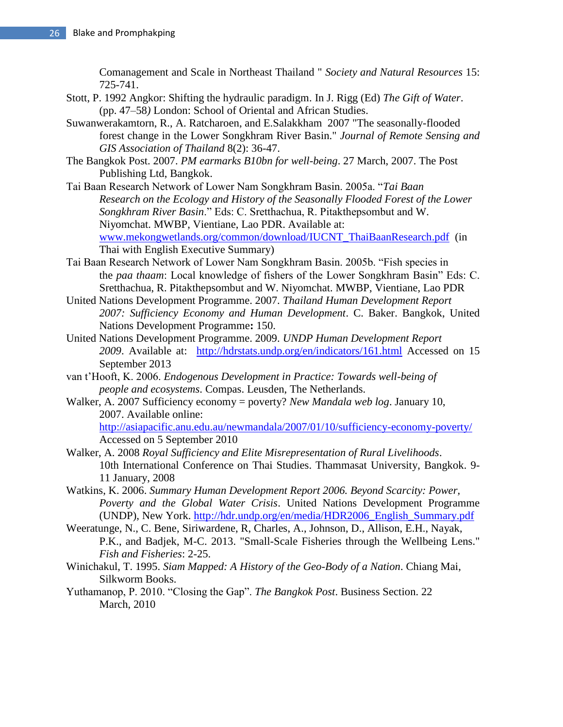Comanagement and Scale in Northeast Thailand " *Society and Natural Resources* 15: 725-741.

- Stott, P. 1992 Angkor: Shifting the hydraulic paradigm. In J. Rigg (Ed) *The Gift of Water*. (pp. 47–58*)* London: School of Oriental and African Studies.
- Suwanwerakamtorn, R., A. Ratcharoen, and E.Salakkham 2007 "The seasonally-flooded forest change in the Lower Songkhram River Basin." *Journal of Remote Sensing and GIS Association of Thailand* 8(2): 36-47.
- The Bangkok Post. 2007. *PM earmarks B10bn for well-being*. 27 March, 2007. The Post Publishing Ltd, Bangkok.
- Tai Baan Research Network of Lower Nam Songkhram Basin. 2005a. "*Tai Baan Research on the Ecology and History of the Seasonally Flooded Forest of the Lower Songkhram River Basin*." Eds: C. Sretthachua, R. Pitakthepsombut and W. Niyomchat. MWBP, Vientiane, Lao PDR. Available at: [www.mekongwetlands.org/common/download/IUCNT\\_ThaiBaanResearch.pdf](http://www.mekongwetlands.org/common/download/IUCNT_ThaiBaanResearch.pdf) (in Thai with English Executive Summary)
- Tai Baan Research Network of Lower Nam Songkhram Basin. 2005b. "Fish species in the *paa thaam*: Local knowledge of fishers of the Lower Songkhram Basin" Eds: C. Sretthachua, R. Pitakthepsombut and W. Niyomchat. MWBP, Vientiane, Lao PDR
- United Nations Development Programme. 2007. *Thailand Human Development Report 2007: Sufficiency Economy and Human Development*. C. Baker. Bangkok, United Nations Development Programme**:** 150.
- United Nations Development Programme. 2009. *UNDP Human Development Report 2009*. Available at: <http://hdrstats.undp.org/en/indicators/161.html> Accessed on 15 September 2013
- van t'Hooft, K. 2006. *Endogenous Development in Practice: Towards well-being of people and ecosystems*. Compas. Leusden, The Netherlands.
- Walker, A. 2007 Sufficiency economy = poverty? *New Mandala web log*. January 10, 2007. Available online: <http://asiapacific.anu.edu.au/newmandala/2007/01/10/sufficiency-economy-poverty/> Accessed on 5 September 2010
- Walker, A. 2008 *Royal Sufficiency and Elite Misrepresentation of Rural Livelihoods*. 10th International Conference on Thai Studies. Thammasat University, Bangkok. 9- 11 January, 2008
- Watkins, K. 2006. *Summary Human Development Report 2006. Beyond Scarcity: Power, Poverty and the Global Water Crisis*. United Nations Development Programme (UNDP), New York. [http://hdr.undp.org/en/media/HDR2006\\_English\\_Summary.pdf](http://hdr.undp.org/en/media/HDR2006_English_Summary.pdf)
- Weeratunge, N., C. Bene, Siriwardene, R, Charles, A., Johnson, D., Allison, E.H., Nayak, P.K., and Badjek, M-C. 2013. "Small-Scale Fisheries through the Wellbeing Lens." *Fish and Fisheries*: 2-25.
- Winichakul, T. 1995. *Siam Mapped: A History of the Geo-Body of a Nation*. Chiang Mai, Silkworm Books.
- Yuthamanop, P. 2010. "Closing the Gap". *The Bangkok Post*. Business Section. 22 March, 2010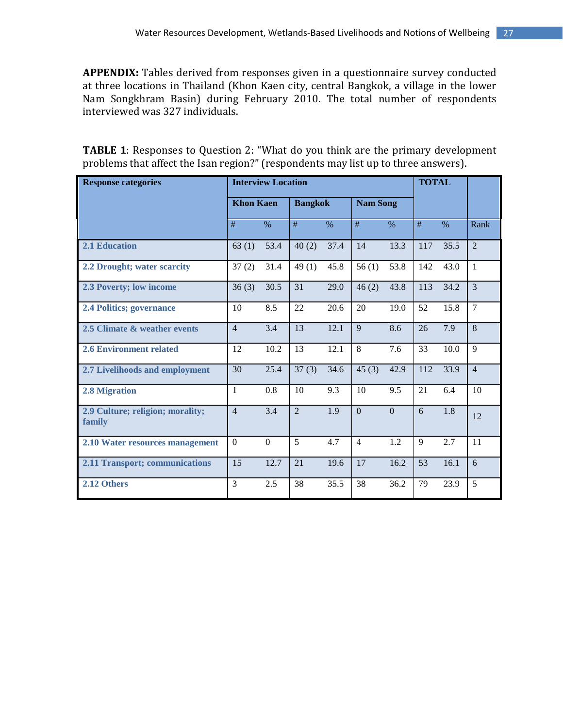**APPENDIX:** Tables derived from responses given in a questionnaire survey conducted at three locations in Thailand (Khon Kaen city, central Bangkok, a village in the lower Nam Songkhram Basin) during February 2010. The total number of respondents interviewed was 327 individuals.

| <b>TABLE 1:</b> Responses to Question 2: "What do you think are the primary development |
|-----------------------------------------------------------------------------------------|
| problems that affect the Isan region?" (respondents may list up to three answers).      |

| <b>Interview Location</b><br><b>Response categories</b> |                                    |              |                |                 |                |                |              | <b>TOTAL</b> |                |
|---------------------------------------------------------|------------------------------------|--------------|----------------|-----------------|----------------|----------------|--------------|--------------|----------------|
|                                                         | <b>Khon Kaen</b><br><b>Bangkok</b> |              |                | <b>Nam Song</b> |                |                |              |              |                |
|                                                         | #                                  | $\%$         | #              | $\%$            | #              | $\%$           | #            | $\%$         | Rank           |
| <b>2.1 Education</b>                                    | 63(1)                              | 53.4         | 40(2)          | 37.4            | 14             | 13.3           | 117          | 35.5         | $\overline{2}$ |
| 2.2 Drought; water scarcity                             | 37(2)                              | 31.4         | 49(1)          | 45.8            | 56(1)          | 53.8           | 142          | 43.0         | 1              |
| 2.3 Poverty; low income                                 | 36(3)                              | 30.5         | 31             | 29.0            | 46(2)          | 43.8           | 113          | 34.2         | 3              |
| <b>2.4 Politics; governance</b>                         | 10                                 | 8.5          | 22             | 20.6            | 20             | 19.0           | 52           | 15.8         | $\overline{7}$ |
| 2.5 Climate & weather events                            | $\overline{4}$                     | 3.4          | 13             | 12.1            | 9              | 8.6            | 26           | 7.9          | $\overline{8}$ |
| <b>2.6 Environment related</b>                          | 12                                 | 10.2         | 13             | 12.1            | 8              | 7.6            | 33           | 10.0         | 9              |
| 2.7 Livelihoods and employment                          | 30                                 | 25.4         | 37(3)          | 34.6            | 45(3)          | 42.9           | 112          | 33.9         | $\overline{4}$ |
| 2.8 Migration                                           | 1                                  | 0.8          | 10             | 9.3             | 10             | 9.5            | 21           | 6.4          | 10             |
| 2.9 Culture; religion; morality;<br>family              | $\overline{4}$                     | 3.4          | $\overline{2}$ | 1.9             | $\overline{0}$ | $\overline{0}$ | 6            | 1.8          | 12             |
| 2.10 Water resources management                         | $\overline{0}$                     | $\mathbf{0}$ | 5              | 4.7             | $\overline{4}$ | 1.2            | $\mathbf{Q}$ | 2.7          | 11             |
| 2.11 Transport; communications                          | 15                                 | 12.7         | 21             | 19.6            | 17             | 16.2           | 53           | 16.1         | 6              |
| 2.12 Others                                             | 3                                  | 2.5          | 38             | 35.5            | 38             | 36.2           | 79           | 23.9         | 5              |